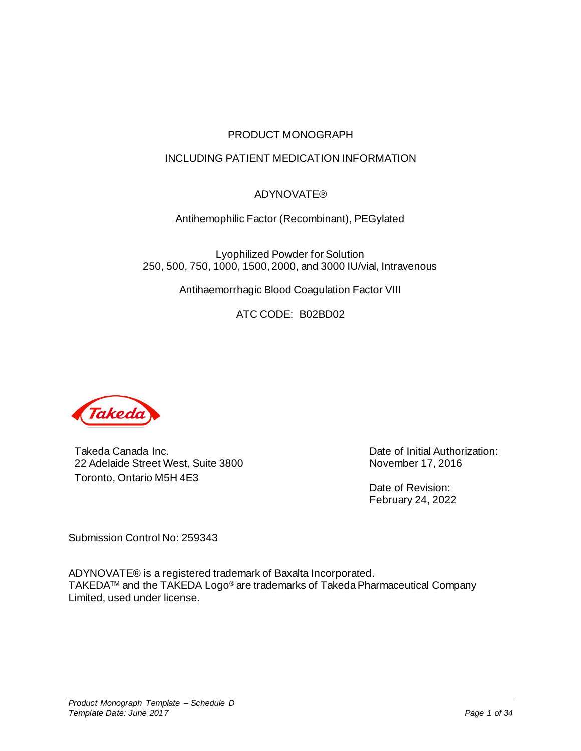## PRODUCT MONOGRAPH

## INCLUDING PATIENT MEDICATION INFORMATION

## ADYNOVATE®

Antihemophilic Factor (Recombinant), PEGylated

Lyophilized Powder for Solution 250, 500, 750, 1000, 1500, 2000, and 3000 IU/vial, Intravenous

Antihaemorrhagic Blood Coagulation Factor VIII

ATC CODE: B02BD02



Takeda Canada Inc. 22 Adelaide Street West, Suite 3800 Toronto, Ontario M5H 4E3

Date of Initial Authorization: November 17, 2016

Date of Revision: February 24, 2022

Submission Control No: 259343

ADYNOVATE® is a registered trademark of Baxalta Incorporated. TAKEDATM and the TAKEDA Logo® are trademarks of Takeda Pharmaceutical Company Limited, used under license.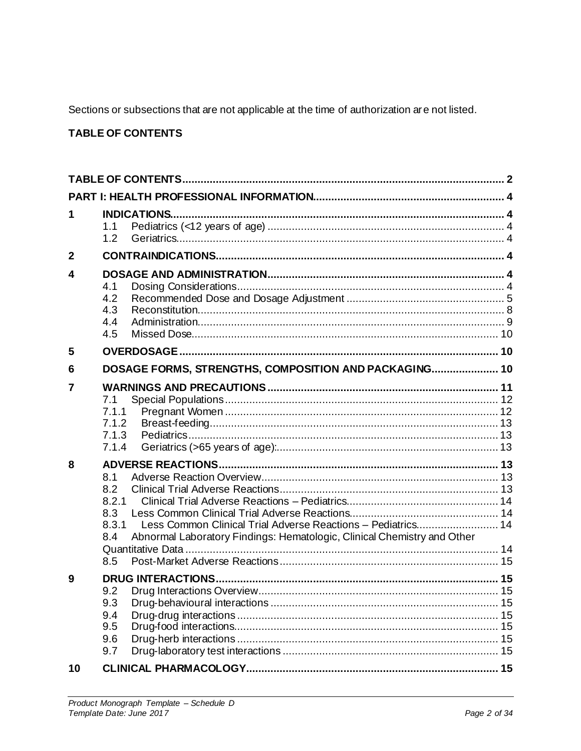Sections or subsections that are not applicable at the time of authorization are not listed.

# <span id="page-1-0"></span>**TABLE OF CONTENTS**

| 1                       | <b>INDICATIONS</b><br>1.1<br>1.2                                                                                                                                                             |  |  |  |  |  |  |
|-------------------------|----------------------------------------------------------------------------------------------------------------------------------------------------------------------------------------------|--|--|--|--|--|--|
| $\overline{2}$          |                                                                                                                                                                                              |  |  |  |  |  |  |
| $\overline{\mathbf{4}}$ | 4.1<br>4.2<br>4.3<br>4.4<br>4.5                                                                                                                                                              |  |  |  |  |  |  |
| 5                       |                                                                                                                                                                                              |  |  |  |  |  |  |
| 6                       | DOSAGE FORMS, STRENGTHS, COMPOSITION AND PACKAGING 10                                                                                                                                        |  |  |  |  |  |  |
| 7                       | 7.1<br>7.1.1<br>7.1.2<br>7.1.3<br>7.1.4                                                                                                                                                      |  |  |  |  |  |  |
| 8                       | 8.1<br>8.2<br>8.2.1<br>8.3<br>Less Common Clinical Trial Adverse Reactions - Pediatrics 14<br>8.3.1<br>Abnormal Laboratory Findings: Hematologic, Clinical Chemistry and Other<br>8.4<br>8.5 |  |  |  |  |  |  |
| 9                       | 9.2<br>9.3<br>9.4<br>9.5<br>9.6<br>9.7                                                                                                                                                       |  |  |  |  |  |  |
| 10                      |                                                                                                                                                                                              |  |  |  |  |  |  |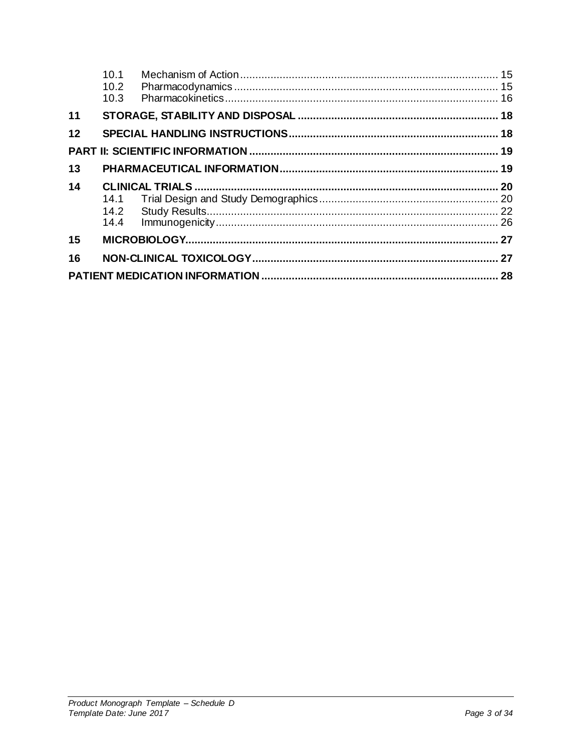|    | 10.1<br>10.2<br>10.3 |  |
|----|----------------------|--|
| 11 |                      |  |
| 12 |                      |  |
|    |                      |  |
| 13 |                      |  |
| 14 |                      |  |
|    |                      |  |
|    |                      |  |
|    |                      |  |
| 15 |                      |  |
| 16 |                      |  |
|    |                      |  |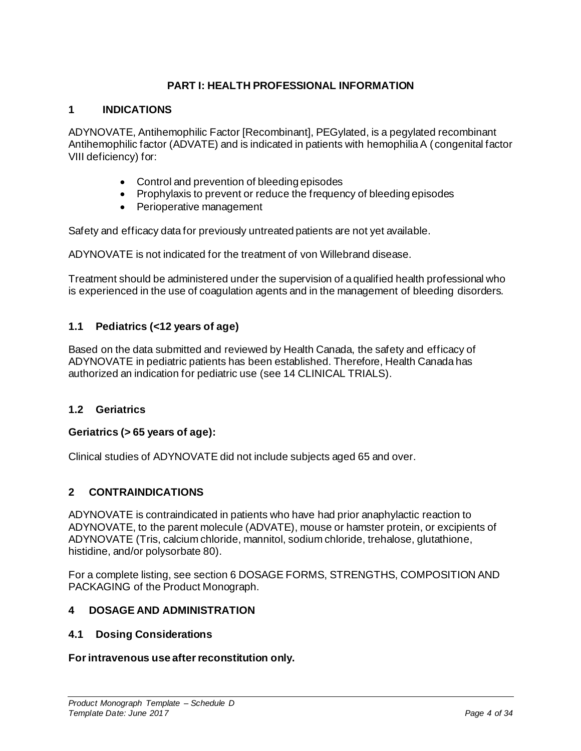## **PART I: HEALTH PROFESSIONAL INFORMATION**

## <span id="page-3-1"></span><span id="page-3-0"></span>**1 INDICATIONS**

ADYNOVATE, Antihemophilic Factor [Recombinant], PEGylated, is a pegylated recombinant Antihemophilic factor (ADVATE) and is indicated in patients with hemophilia A (congenital factor VIII deficiency) for:

- Control and prevention of bleeding episodes
- Prophylaxis to prevent or reduce the frequency of bleeding episodes
- Perioperative management

Safety and efficacy data for previously untreated patients are not yet available.

ADYNOVATE is not indicated for the treatment of von Willebrand disease.

Treatment should be administered under the supervision of a qualified health professional who is experienced in the use of coagulation agents and in the management of bleeding disorders.

## <span id="page-3-2"></span>**1.1 Pediatrics (<12 years of age)**

Based on the data submitted and reviewed by Health Canada, the safety and efficacy of ADYNOVATE in pediatric patients has been established. Therefore, Health Canada has authorized an indication for pediatric use (se[e 14](#page-19-0) [CLINICAL TRIALS](#page-19-0)).

### <span id="page-3-3"></span>**1.2 Geriatrics**

### **Geriatrics (> 65 years of age):**

Clinical studies of ADYNOVATE did not include subjects aged 65 and over.

### <span id="page-3-4"></span>**2 CONTRAINDICATIONS**

ADYNOVATE is contraindicated in patients who have had prior anaphylactic reaction to ADYNOVATE, to the parent molecule (ADVATE), mouse or hamster protein, or excipients of ADYNOVATE (Tris, calcium chloride, mannitol, sodium chloride, trehalose, glutathione, histidine, and/or polysorbate 80).

For a complete listing, see sectio[n 6](#page-9-2) [DOSAGE FORMS, STRENGTHS, COMPOSITION AND](#page-9-2)  [PACKAGING](#page-9-2) of the Product Monograph.

### <span id="page-3-5"></span>**4 DOSAGE AND ADMINISTRATION**

#### <span id="page-3-6"></span>**4.1 Dosing Considerations**

#### **For intravenous use after reconstitution only.**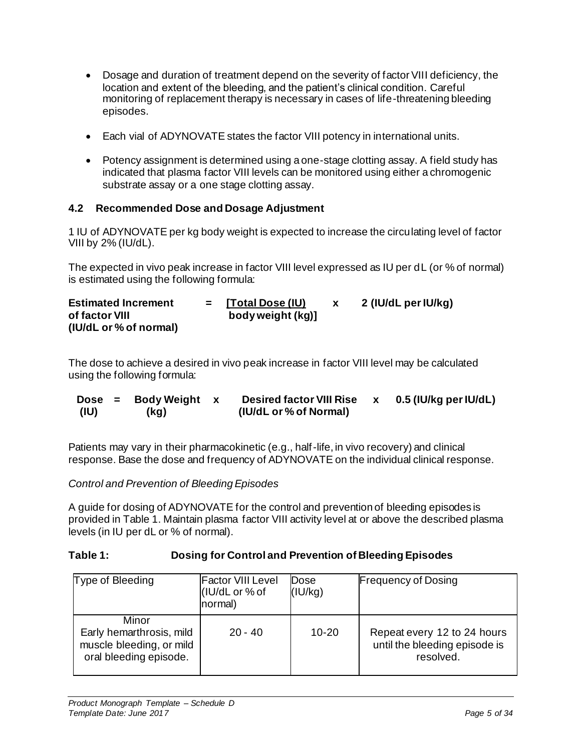- Dosage and duration of treatment depend on the severity of factor VIII deficiency, the location and extent of the bleeding, and the patient's clinical condition. Careful monitoring of replacement therapy is necessary in cases of life-threatening bleeding episodes.
- Each vial of ADYNOVATE states the factor VIII potency in international units.
- Potency assignment is determined using a one-stage clotting assay. A field study has indicated that plasma factor VIII levels can be monitored using either a chromogenic substrate assay or a one stage clotting assay.

## <span id="page-4-0"></span>**4.2 Recommended Dose and Dosage Adjustment**

1 IU of ADYNOVATE per kg body weight is expected to increase the circulating level of factor VIII by 2% (IU/dL).

The expected in vivo peak increase in factor VIII level expressed as IU per dL (or % of normal) is estimated using the following formula:

| <b>Estimated Increment</b> | $=$ [Total Dose (IU) | 2 (IU/dL per IU/kg) |
|----------------------------|----------------------|---------------------|
| of factor VIII             | body weight (kg)]    |                     |
| (IU/dL or % of normal)     |                      |                     |

The dose to achieve a desired in vivo peak increase in factor VIII level may be calculated using the following formula:

| $Dose =$ | Body Weight x | <b>Desired factor VIII Rise</b> | 0.5 (IU/kg per IU/dL) |
|----------|---------------|---------------------------------|-----------------------|
| (IU)     | (kg)          | (IU/dL or % of Normal)          |                       |

Patients may vary in their pharmacokinetic (e.g., half-life, in vivo recovery) and clinical response. Base the dose and frequency of ADYNOVATE on the individual clinical response.

*Control and Prevention of Bleeding Episodes*

A guide for dosing of ADYNOVATE for the control and prevention of bleeding episodes is provided i[n Table 1.](#page-4-1) Maintain plasma factor VIII activity level at or above the described plasma levels (in IU per dL or % of normal).

## <span id="page-4-1"></span>**Table 1: Dosing for Control and Prevention of Bleeding Episodes**

| Type of Bleeding                                                                        | <b>Factor VIII Level</b><br>(IU/dL or % of<br>normal) | Dose<br>(IU/kg) | <b>Frequency of Dosing</b>                                                |
|-----------------------------------------------------------------------------------------|-------------------------------------------------------|-----------------|---------------------------------------------------------------------------|
| Minor<br>Early hemarthrosis, mild<br>muscle bleeding, or mild<br>oral bleeding episode. | $20 - 40$                                             | $10 - 20$       | Repeat every 12 to 24 hours<br>until the bleeding episode is<br>resolved. |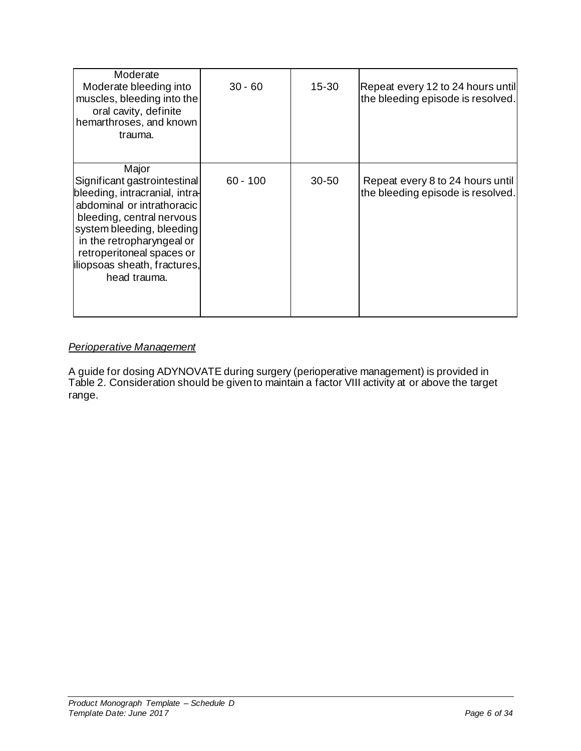| Moderate<br>Moderate bleeding into<br>muscles, bleeding into the<br>oral cavity, definite<br>hemarthroses, and known<br>trauma.                                                                                                                                           | $30 - 60$  | $15 - 30$ | Repeat every 12 to 24 hours until<br>the bleeding episode is resolved. |
|---------------------------------------------------------------------------------------------------------------------------------------------------------------------------------------------------------------------------------------------------------------------------|------------|-----------|------------------------------------------------------------------------|
| Major<br>Significant gastrointestinal<br>bleeding, intracranial, intra-<br>abdominal or intrathoracic<br>bleeding, central nervous<br>system bleeding, bleeding<br>in the retropharyngeal or<br>retroperitoneal spaces or<br>iliopsoas sheath, fractures,<br>head trauma. | $60 - 100$ | $30 - 50$ | Repeat every 8 to 24 hours until<br>the bleeding episode is resolved.  |

## *Perioperative Management*

A guide for dosing ADYNOVATE during surgery (perioperative management) is provided in [Table 2.](#page-6-0) Consideration should be given to maintain a factor VIII activity at or above the target range.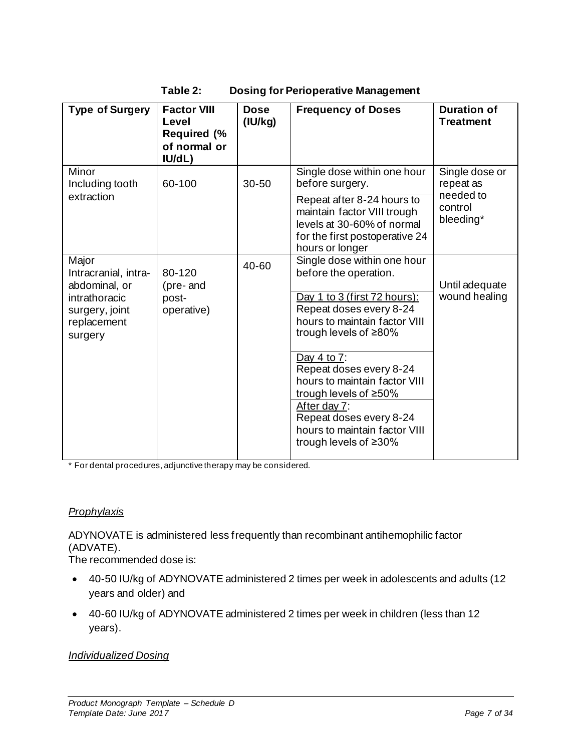| Table 2: |
|----------|
|----------|

**Table 2: Dosing for Perioperative Management**

<span id="page-6-0"></span>

| <b>Type of Surgery</b>                                                     | <b>Factor VIII</b><br>Level<br><b>Required (%</b><br>of normal or<br>IU/dL) | <b>Dose</b><br>(IU/kg) | <b>Frequency of Doses</b>                                                                                                                    | <b>Duration of</b><br><b>Treatment</b> |
|----------------------------------------------------------------------------|-----------------------------------------------------------------------------|------------------------|----------------------------------------------------------------------------------------------------------------------------------------------|----------------------------------------|
| Minor<br>Including tooth                                                   | 60-100                                                                      | 30-50                  | Single dose within one hour<br>before surgery.                                                                                               | Single dose or<br>repeat as            |
| extraction                                                                 |                                                                             |                        | Repeat after 8-24 hours to<br>maintain factor VIII trough<br>levels at 30-60% of normal<br>for the first postoperative 24<br>hours or longer | needed to<br>control<br>bleeding*      |
| Major<br>Intracranial, intra-                                              | 80-120                                                                      | 40-60                  | Single dose within one hour<br>before the operation.                                                                                         |                                        |
| abdominal, or<br>intrathoracic<br>surgery, joint<br>replacement<br>surgery | (pre-and<br>post-<br>operative)                                             |                        | Day 1 to 3 (first 72 hours):<br>Repeat doses every 8-24<br>hours to maintain factor VIII<br>trough levels of $\geq 80\%$                     | Until adequate<br>wound healing        |
|                                                                            |                                                                             |                        | Day 4 to 7:<br>Repeat doses every 8-24<br>hours to maintain factor VIII<br>trough levels of $\geq 50\%$                                      |                                        |
|                                                                            |                                                                             |                        | After day 7:<br>Repeat doses every 8-24<br>hours to maintain factor VIII<br>trough levels of $\geq 30\%$                                     |                                        |

\* For dental procedures, adjunctive therapy may be considered.

# *Prophylaxis*

ADYNOVATE is administered less frequently than recombinant antihemophilic factor (ADVATE).

The recommended dose is:

- 40-50 IU/kg of ADYNOVATE administered 2 times per week in adolescents and adults (12 years and older) and
- 40-60 IU/kg of ADYNOVATE administered 2 times per week in children (less than 12 years).

## *Individualized Dosing*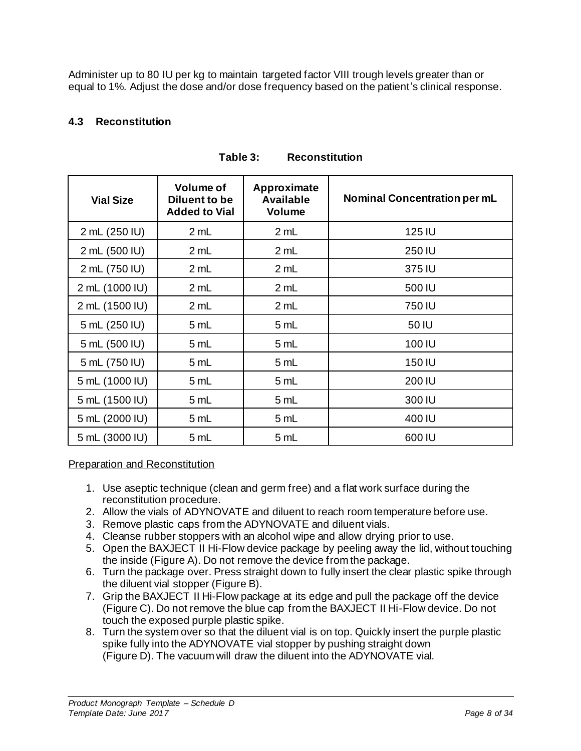Administer up to 80 IU per kg to maintain targeted factor VIII trough levels greater than or equal to 1%. Adjust the dose and/or dose frequency based on the patient's clinical response.

## <span id="page-7-0"></span>**4.3 Reconstitution**

| <b>Vial Size</b> | <b>Volume of</b><br>Diluent to be<br><b>Added to Vial</b> | Approximate<br><b>Available</b><br><b>Volume</b> | <b>Nominal Concentration per mL</b> |
|------------------|-----------------------------------------------------------|--------------------------------------------------|-------------------------------------|
| 2 mL (250 IU)    | 2 mL                                                      | 2 mL                                             | 125 IU                              |
| 2 mL (500 IU)    | 2 mL                                                      | 2 mL                                             | 250 IU                              |
| 2 mL (750 IU)    | 2 mL                                                      | 2 mL                                             | 375 IU                              |
| 2 mL (1000 IU)   | 2 mL                                                      | 2 mL                                             | 500 IU                              |
| 2 mL (1500 IU)   | 2 mL                                                      | 2 mL                                             | 750 IU                              |
| 5 mL (250 IU)    | 5 mL                                                      | 5 mL                                             | 50 IU                               |
| 5 mL (500 IU)    | 5 mL                                                      | 5 mL                                             | 100 IU                              |
| 5 mL (750 IU)    | 5 mL                                                      | 5 mL                                             | 150 IU                              |
| 5 mL (1000 IU)   | 5 mL                                                      | 5 mL                                             | 200 IU                              |
| 5 mL (1500 IU)   | 5 mL                                                      | 5 mL                                             | 300 IU                              |
| 5 mL (2000 IU)   | 5 mL                                                      | 5 mL                                             | 400 IU                              |
| 5 mL (3000 IU)   | 5 mL                                                      | 5 mL                                             | 600 IU                              |

## **Table 3: Reconstitution**

## Preparation and Reconstitution

- 1. Use aseptic technique (clean and germ free) and a flat work surface during the reconstitution procedure.
- 2. Allow the vials of ADYNOVATE and diluent to reach room temperature before use.
- 3. Remove plastic caps from the ADYNOVATE and diluent vials.
- 4. Cleanse rubber stoppers with an alcohol wipe and allow drying prior to use.
- 5. Open the BAXJECT II Hi-Flow device package by peeling away the lid, without touching the inside (Figure A). Do not remove the device from the package.
- 6. Turn the package over. Press straight down to fully insert the clear plastic spike through the diluent vial stopper (Figure B).
- 7. Grip the BAXJECT II Hi-Flow package at its edge and pull the package off the device (Figure C). Do not remove the blue cap from the BAXJECT II Hi-Flow device. Do not touch the exposed purple plastic spike.
- 8. Turn the system over so that the diluent vial is on top. Quickly insert the purple plastic spike fully into the ADYNOVATE vial stopper by pushing straight down (Figure D). The vacuum will draw the diluent into the ADYNOVATE vial.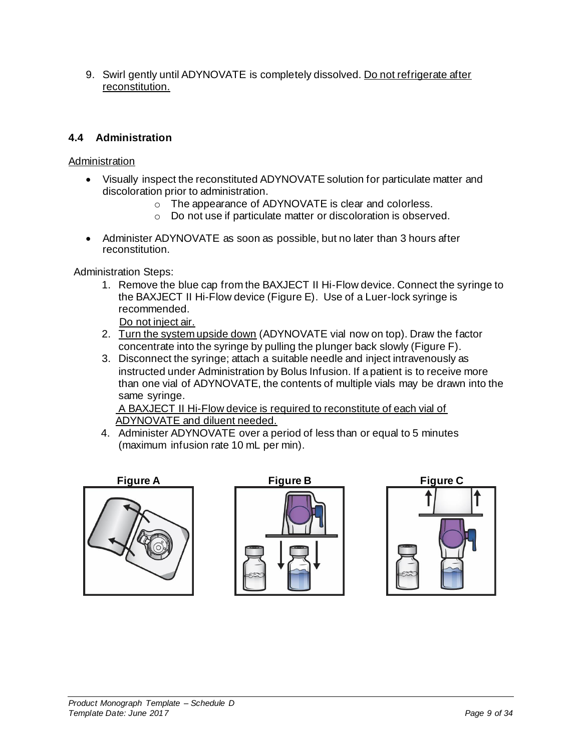9. Swirl gently until ADYNOVATE is completely dissolved. Do not refrigerate after reconstitution.

## <span id="page-8-0"></span>**4.4 Administration**

## **Administration**

- Visually inspect the reconstituted ADYNOVATE solution for particulate matter and discoloration prior to administration.
	- o The appearance of ADYNOVATE is clear and colorless.
	- o Do not use if particulate matter or discoloration is observed.
- Administer ADYNOVATE as soon as possible, but no later than 3 hours after reconstitution.

Administration Steps:

1. Remove the blue cap from the BAXJECT II Hi-Flow device. Connect the syringe to the BAXJECT II Hi-Flow device (Figure E). Use of a Luer-lock syringe is recommended.

Do not inject air.

- 2. Turn the system upside down (ADYNOVATE vial now on top). Draw the factor concentrate into the syringe by pulling the plunger back slowly (Figure F).
- 3. Disconnect the syringe; attach a suitable needle and inject intravenously as instructed under Administration by Bolus Infusion. If a patient is to receive more than one vial of ADYNOVATE, the contents of multiple vials may be drawn into the same syringe.

A BAXJECT II Hi-Flow device is required to reconstitute of each vial of ADYNOVATE and diluent needed.

4. Administer ADYNOVATE over a period of less than or equal to 5 minutes (maximum infusion rate 10 mL per min).





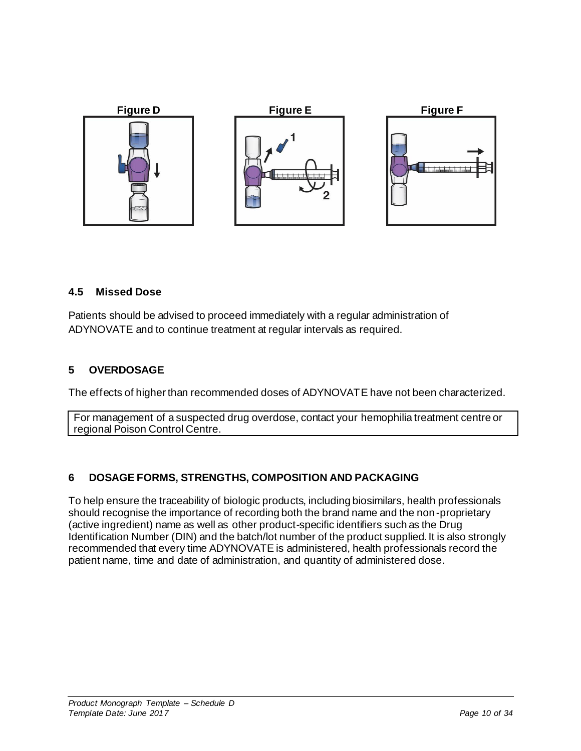

## <span id="page-9-0"></span>**4.5 Missed Dose**

Patients should be advised to proceed immediately with a regular administration of ADYNOVATE and to continue treatment at regular intervals as required.

## <span id="page-9-1"></span>**5 OVERDOSAGE**

The effects of higher than recommended doses of ADYNOVATE have not been characterized.

For management of a suspected drug overdose, contact your hemophilia treatment centre or regional Poison Control Centre.

# <span id="page-9-2"></span>**6 DOSAGE FORMS, STRENGTHS, COMPOSITION AND PACKAGING**

To help ensure the traceability of biologic products, including biosimilars, health professionals should recognise the importance of recording both the brand name and the non-proprietary (active ingredient) name as well as other product-specific identifiers such as the Drug Identification Number (DIN) and the batch/lot number of the product supplied. It is also strongly recommended that every time ADYNOVATE is administered, health professionals record the patient name, time and date of administration, and quantity of administered dose.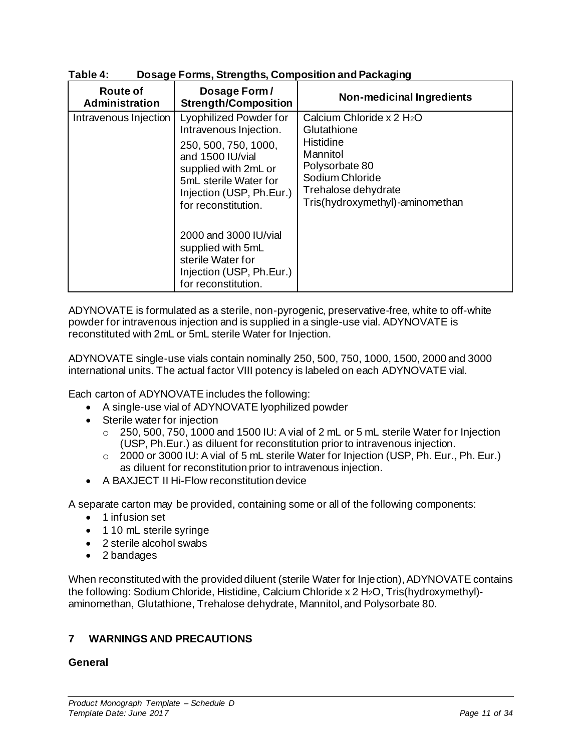| <b>Route of</b><br>Administration | Dosage Form/<br><b>Strength/Composition</b>                                                                                                                                                             | <b>Non-medicinal Ingredients</b>                                                                                                                                             |
|-----------------------------------|---------------------------------------------------------------------------------------------------------------------------------------------------------------------------------------------------------|------------------------------------------------------------------------------------------------------------------------------------------------------------------------------|
| Intravenous Injection             | <b>Lyophilized Powder for</b><br>Intravenous Injection.<br>250, 500, 750, 1000,<br>and 1500 IU/vial<br>supplied with 2mL or<br>5mL sterile Water for<br>Injection (USP, Ph.Eur.)<br>for reconstitution. | Calcium Chloride x 2 H <sub>2</sub> O<br>Glutathione<br>Histidine<br>Mannitol<br>Polysorbate 80<br>Sodium Chloride<br>Trehalose dehydrate<br>Tris(hydroxymethyl)-aminomethan |
|                                   | 2000 and 3000 IU/vial<br>supplied with 5mL<br>sterile Water for<br>Injection (USP, Ph.Eur.)<br>for reconstitution.                                                                                      |                                                                                                                                                                              |

## **Table 4: Dosage Forms, Strengths, Composition and Packaging**

ADYNOVATE is formulated as a sterile, non-pyrogenic, preservative-free, white to off-white powder for intravenous injection and is supplied in a single-use vial. ADYNOVATE is reconstituted with 2mL or 5mL sterile Water for Injection.

ADYNOVATE single-use vials contain nominally 250, 500, 750, 1000, 1500, 2000 and 3000 international units. The actual factor VIII potency is labeled on each ADYNOVATE vial.

Each carton of ADYNOVATE includes the following:

- A single-use vial of ADYNOVATE lyophilized powder
- Sterile water for injection
	- $\circ$  250, 500, 750, 1000 and 1500 IU: A vial of 2 mL or 5 mL sterile Water for Injection (USP, Ph.Eur.) as diluent for reconstitution prior to intravenous injection.
	- $\circ$  2000 or 3000 IU: A vial of 5 mL sterile Water for Injection (USP, Ph. Eur., Ph. Eur.) as diluent for reconstitution prior to intravenous injection.
- A BAXJECT II Hi-Flow reconstitution device

A separate carton may be provided, containing some or all of the following components:

- 1 infusion set
- 1 10 mL sterile syringe
- 2 sterile alcohol swabs
- 2 bandages

When reconstituted with the provided diluent (sterile Water for Injection), ADYNOVATE contains the following: Sodium Chloride, Histidine, Calcium Chloride x 2 H<sub>2</sub>O, Tris(hydroxymethyl)aminomethan, Glutathione, Trehalose dehydrate, Mannitol, and Polysorbate 80.

## <span id="page-10-0"></span>**7 WARNINGS AND PRECAUTIONS**

### **General**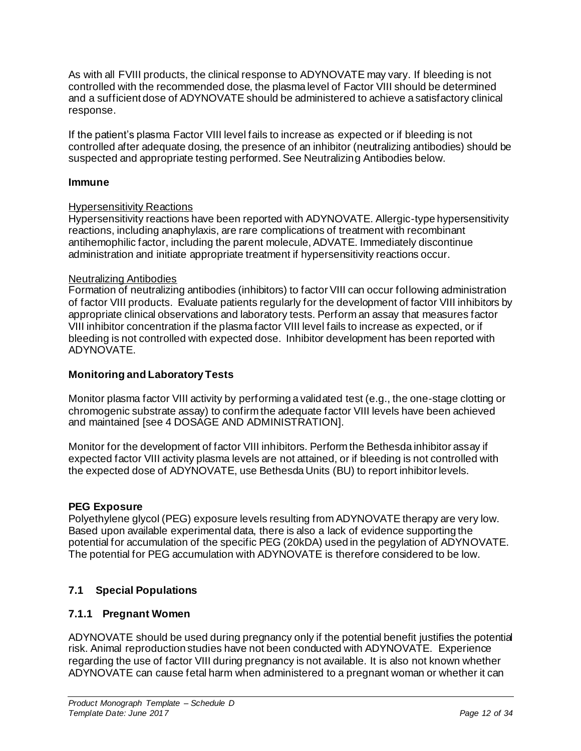As with all FVIII products, the clinical response to ADYNOVATE may vary. If bleeding is not controlled with the recommended dose, the plasma level of Factor VIII should be determined and a sufficient dose of ADYNOVATE should be administered to achieve a satisfactory clinical response.

If the patient's plasma Factor VIII level fails to increase as expected or if bleeding is not controlled after adequate dosing, the presence of an inhibitor (neutralizing antibodies) should be suspected and appropriate testing performed. See Neutralizing Antibodies below.

### **Immune**

## Hypersensitivity Reactions

Hypersensitivity reactions have been reported with ADYNOVATE. Allergic-type hypersensitivity reactions, including anaphylaxis, are rare complications of treatment with recombinant antihemophilic factor, including the parent molecule, ADVATE. Immediately discontinue administration and initiate appropriate treatment if hypersensitivity reactions occur.

### Neutralizing Antibodies

Formation of neutralizing antibodies (inhibitors) to factor VIII can occur following administration of factor VIII products. Evaluate patients regularly for the development of factor VIII inhibitors by appropriate clinical observations and laboratory tests. Perform an assay that measures factor VIII inhibitor concentration if the plasma factor VIII level fails to increase as expected, or if bleeding is not controlled with expected dose. Inhibitor development has been reported with ADYNOVATE.

## **Monitoring and Laboratory Tests**

Monitor plasma factor VIII activity by performing a validated test (e.g., the one-stage clotting or chromogenic substrate assay) to confirm the adequate factor VIII levels have been achieved and maintained [see [4](#page-3-5) [DOSAGE AND ADMINISTRATION](#page-3-5)].

Monitor for the development of factor VIII inhibitors. Perform the Bethesda inhibitor assay if expected factor VIII activity plasma levels are not attained, or if bleeding is not controlled with the expected dose of ADYNOVATE, use Bethesda Units (BU) to report inhibitor levels.

### **PEG Exposure**

Polyethylene glycol (PEG) exposure levels resulting from ADYNOVATE therapy are very low. Based upon available experimental data, there is also a lack of evidence supporting the potential for accumulation of the specific PEG (20kDA) used in the pegylation of ADYNOVATE. The potential for PEG accumulation with ADYNOVATE is therefore considered to be low.

## <span id="page-11-0"></span>**7.1 Special Populations**

## <span id="page-11-1"></span>**7.1.1 Pregnant Women**

ADYNOVATE should be used during pregnancy only if the potential benefit justifies the potential risk. Animal reproduction studies have not been conducted with ADYNOVATE. Experience regarding the use of factor VIII during pregnancy is not available. It is also not known whether ADYNOVATE can cause fetal harm when administered to a pregnant woman or whether it can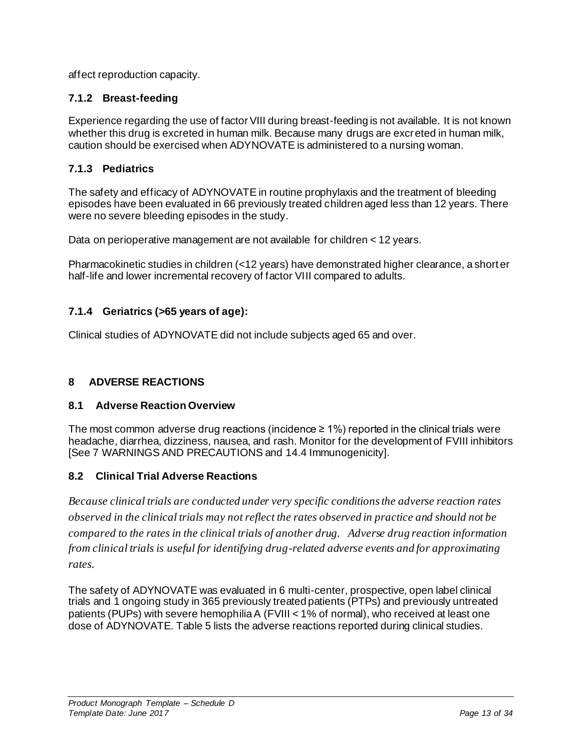affect reproduction capacity.

## <span id="page-12-0"></span>**7.1.2 Breast-feeding**

Experience regarding the use of factor VIII during breast-feeding is not available. It is not known whether this drug is excreted in human milk. Because many drugs are excreted in human milk, caution should be exercised when ADYNOVATE is administered to a nursing woman.

## <span id="page-12-1"></span>**7.1.3 Pediatrics**

The safety and efficacy of ADYNOVATE in routine prophylaxis and the treatment of bleeding episodes have been evaluated in 66 previously treated children aged less than 12 years. There were no severe bleeding episodes in the study.

Data on perioperative management are not available for children < 12 years.

Pharmacokinetic studies in children (<12 years) have demonstrated higher clearance, a shorter half-life and lower incremental recovery of factor VIII compared to adults.

## <span id="page-12-2"></span>**7.1.4 Geriatrics (>65 years of age):**

Clinical studies of ADYNOVATE did not include subjects aged 65 and over.

### <span id="page-12-3"></span>**8 ADVERSE REACTIONS**

### <span id="page-12-4"></span>**8.1 Adverse Reaction Overview**

The most common adverse drug reactions (incidence  $\geq 1\%$ ) reported in the clinical trials were headache, diarrhea, dizziness, nausea, and rash. Monitor for the development of FVIII inhibitors [See [7](#page-10-0) [WARNINGS AND PRECAUTIONS](#page-10-0) and [14.4](#page-25-0) [Immunogenicity](#page-25-0)].

### <span id="page-12-5"></span>**8.2 Clinical Trial Adverse Reactions**

*Because clinical trials are conducted under very specific conditions the adverse reaction rates observed in the clinical trials may not reflect the rates observed in practice and should not be compared to the rates in the clinical trials of another drug. Adverse drug reaction information from clinical trials is useful for identifying drug-related adverse events and for approximating rates.*

The safety of ADYNOVATE was evaluated in 6 multi-center, prospective, open label clinical trials and 1 ongoing study in 365 previously treated patients (PTPs) and previously untreated patients (PUPs) with severe hemophilia A (FVIII < 1% of normal), who received at least one dose of ADYNOVATE[. Table 5](#page-13-4) lists the adverse reactions reported during clinical studies.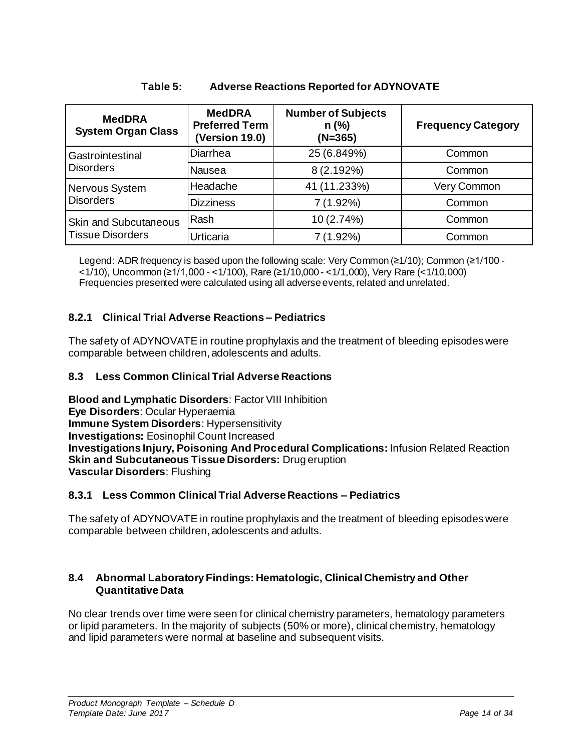<span id="page-13-4"></span>

| <b>MedDRA</b><br><b>System Organ Class</b> | <b>MedDRA</b><br><b>Preferred Term</b><br><b>(Version 19.0)</b> | <b>Number of Subjects</b><br>$n$ (%)<br>(N=365) | <b>Frequency Category</b> |
|--------------------------------------------|-----------------------------------------------------------------|-------------------------------------------------|---------------------------|
| Gastrointestinal                           | Diarrhea                                                        | 25 (6.849%)                                     | Common                    |
| <b>Disorders</b>                           | Nausea                                                          | 8 (2.192%)                                      | Common                    |
| Nervous System                             | Headache                                                        | 41 (11.233%)                                    | Very Common               |
| <b>Disorders</b>                           | <b>Dizziness</b>                                                | $7(1.92\%)$                                     | Common                    |
| <b>Skin and Subcutaneous</b>               | Rash                                                            | 10 (2.74%)                                      | Common                    |
| <b>Tissue Disorders</b>                    | Urticaria                                                       | 7 (1.92%)                                       | Common                    |

## **Table 5: Adverse Reactions Reported for ADYNOVATE**

Legend: ADR frequency is based upon the following scale: Very Common (≥1/10); Common (≥1/100 - <1/10), Uncommon (≥1/1,000 - <1/100), Rare (≥1/10,000 - <1/1,000), Very Rare (<1/10,000) Frequencies presented were calculated using all adverse events, related and unrelated.

## <span id="page-13-0"></span>**8.2.1 Clinical Trial Adverse Reactions – Pediatrics**

The safety of ADYNOVATE in routine prophylaxis and the treatment of bleeding episodes were comparable between children, adolescents and adults.

## <span id="page-13-1"></span>**8.3 Less Common Clinical Trial Adverse Reactions**

**Blood and Lymphatic Disorders**: Factor VIII Inhibition **Eye Disorders**: Ocular Hyperaemia **Immune System Disorders**: Hypersensitivity **Investigations:** Eosinophil Count Increased **Investigations Injury, Poisoning And Procedural Complications:** Infusion Related Reaction **Skin and Subcutaneous Tissue Disorders:** Drug eruption **Vascular Disorders**: Flushing

## <span id="page-13-2"></span>**8.3.1 Less Common Clinical Trial Adverse Reactions – Pediatrics**

The safety of ADYNOVATE in routine prophylaxis and the treatment of bleeding episodes were comparable between children, adolescents and adults.

## <span id="page-13-3"></span>**8.4 Abnormal Laboratory Findings: Hematologic, Clinical Chemistry and Other Quantitative Data**

No clear trends over time were seen for clinical chemistry parameters, hematology parameters or lipid parameters. In the majority of subjects (50% or more), clinical chemistry, hematology and lipid parameters were normal at baseline and subsequent visits.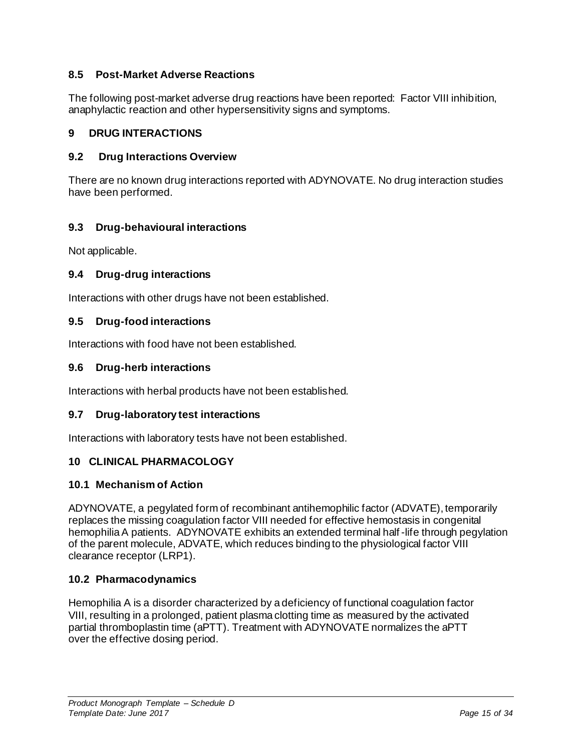## <span id="page-14-0"></span>**8.5 Post-Market Adverse Reactions**

The following post-market adverse drug reactions have been reported: Factor VIII inhibition, anaphylactic reaction and other hypersensitivity signs and symptoms.

## <span id="page-14-1"></span>**9 DRUG INTERACTIONS**

## <span id="page-14-2"></span>**9.2 Drug Interactions Overview**

There are no known drug interactions reported with ADYNOVATE. No drug interaction studies have been performed.

## <span id="page-14-3"></span>**9.3 Drug-behavioural interactions**

Not applicable.

## <span id="page-14-4"></span>**9.4 Drug-drug interactions**

<span id="page-14-5"></span>Interactions with other drugs have not been established.

## **9.5 Drug-food interactions**

Interactions with food have not been established.

### <span id="page-14-6"></span>**9.6 Drug-herb interactions**

Interactions with herbal products have not been established.

### <span id="page-14-7"></span>**9.7 Drug-laboratory test interactions**

<span id="page-14-8"></span>Interactions with laboratory tests have not been established.

## **10 CLINICAL PHARMACOLOGY**

### <span id="page-14-9"></span>**10.1 Mechanism of Action**

ADYNOVATE, a pegylated form of recombinant antihemophilic factor (ADVATE), temporarily replaces the missing coagulation factor VIII needed for effective hemostasis in congenital hemophilia A patients. ADYNOVATE exhibits an extended terminal half-life through pegylation of the parent molecule, ADVATE, which reduces binding to the physiological factor VIII clearance receptor (LRP1).

### <span id="page-14-10"></span>**10.2 Pharmacodynamics**

Hemophilia A is a disorder characterized by a deficiency of functional coagulation factor VIII, resulting in a prolonged, patient plasma clotting time as measured by the activated partial thromboplastin time (aPTT). Treatment with ADYNOVATE normalizes the aPTT over the effective dosing period.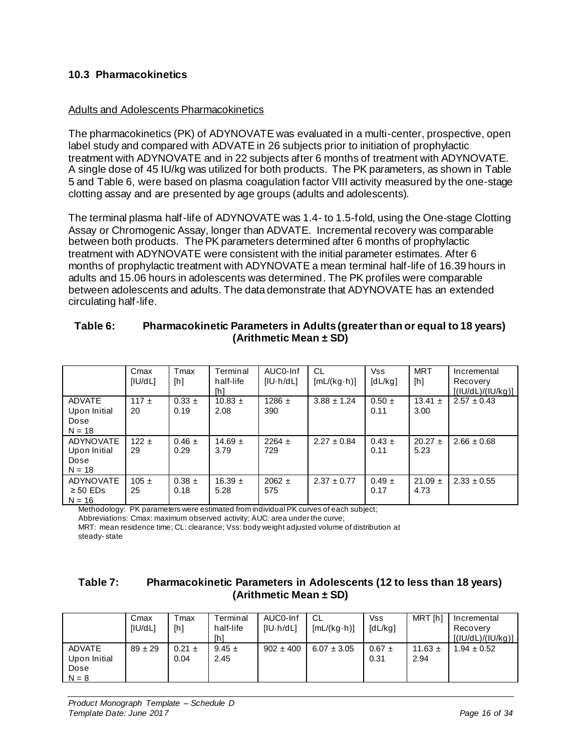## <span id="page-15-0"></span>**10.3 Pharmacokinetics**

#### Adults and Adolescents Pharmacokinetics

The pharmacokinetics (PK) of ADYNOVATE was evaluated in a multi-center, prospective, open label study and compared with ADVATE in 26 subjects prior to initiation of prophylactic treatment with ADYNOVATE and in 22 subjects after 6 months of treatment with ADYNOVATE. A single dose of 45 IU/kg was utilized for both products. The PK parameters, as shown in Table 5 and Table 6, were based on plasma coagulation factor VIII activity measured by the one-stage clotting assay and are presented by age groups (adults and adolescents).

The terminal plasma half-life of ADYNOVATE was 1.4- to 1.5-fold, using the One-stage Clotting Assay or Chromogenic Assay, longer than ADVATE. Incremental recovery was comparable between both products. The PK parameters determined after 6 months of prophylactic treatment with ADYNOVATE were consistent with the initial parameter estimates. After 6 months of prophylactic treatment with ADYNOVATE a mean terminal half-life of 16.39 hours in adults and 15.06 hours in adolescents was determined. The PK profiles were comparable between adolescents and adults. The data demonstrate that ADYNOVATE has an extended circulating half-life.

|                  | Cmax      | Tmax       | Terminal    | AUC0-Inf          | <b>CL</b>           | <b>Vss</b> | <b>MRT</b>  | Incremental       |
|------------------|-----------|------------|-------------|-------------------|---------------------|------------|-------------|-------------------|
|                  | [IU/dL]   | [h]        | half-life   | $[ U \cdot h/dL]$ | $[mL/(kg \cdot h)]$ | [dL/kg]    | [h]         | Recovery          |
|                  |           |            |             |                   |                     |            |             |                   |
|                  |           |            | [h]         |                   |                     |            |             | [(IU/dL)/(IU/kg)] |
| <b>ADVATE</b>    | 117 $\pm$ | $0.33 \pm$ | $10.83 \pm$ | 1286 $\pm$        | $3.88 \pm 1.24$     | $0.50 \pm$ | 13.41 $\pm$ | $2.57 \pm 0.43$   |
| Upon Initial     | 20        | 0.19       | 2.08        | 390               |                     | 0.11       | 3.00        |                   |
|                  |           |            |             |                   |                     |            |             |                   |
| Dose             |           |            |             |                   |                     |            |             |                   |
| $N = 18$         |           |            |             |                   |                     |            |             |                   |
| <b>ADYNOVATE</b> | 122 $\pm$ | $0.46 \pm$ | $14.69 \pm$ | $2264 \pm$        | $2.27 \pm 0.84$     | $0.43 \pm$ | $20.27 \pm$ | $2.66 \pm 0.68$   |
| Upon Initial     | 29        | 0.29       | 3.79        | 729               |                     | 0.11       | 5.23        |                   |
|                  |           |            |             |                   |                     |            |             |                   |
| Dose             |           |            |             |                   |                     |            |             |                   |
| $N = 18$         |           |            |             |                   |                     |            |             |                   |
| <b>ADYNOVATE</b> | $105 \pm$ | $0.38 \pm$ | 16.39 $\pm$ | $2062 \pm$        | $2.37 \pm 0.77$     | $0.49 \pm$ | $21.09 \pm$ | $2.33 \pm 0.55$   |
|                  |           |            |             |                   |                     |            |             |                   |
| $\geq 50$ EDs    | 25        | 0.18       | 5.28        | 575               |                     | 0.17       | 4.73        |                   |
| $N = 16$         |           |            |             |                   |                     |            |             |                   |

#### **Table 6: Pharmacokinetic Parameters in Adults (greater than or equal to 18 years) (Arithmetic Mean ± SD)**

Methodology: PK parameters were estimated from individual PK curves of each subject;

Abbreviations: Cmax: maximum observed activity; AUC: area under the curve;

MRT: mean residence time; CL: clearance; Vss: body weight adjusted volume of distribution at steady- state

### **Table 7: Pharmacokinetic Parameters in Adolescents (12 to less than 18 years) (Arithmetic Mean ± SD)**

|                                                  | Cmax<br><b>IIU/dLI</b> | -max<br>[h]        | <b>Terminal</b><br>half-life<br>[h] | AUC0-Inf<br>[IU-h/dL] | CL.<br>$[mL/(kg \cdot h)]$ | Vss<br>[dL/kg]     | MRT Ihl             | Incremental<br>Recovery<br>[(IU/dL)/(IU/kg)] |
|--------------------------------------------------|------------------------|--------------------|-------------------------------------|-----------------------|----------------------------|--------------------|---------------------|----------------------------------------------|
| <b>ADVATE</b><br>Upon Initial<br>Dose<br>$N = 8$ | $89 \pm 29$            | $0.21 \pm$<br>0.04 | $9.45 \pm$<br>2.45                  | $902 \pm 400$         | $6.07 \pm 3.05$            | $0.67 \pm$<br>0.31 | 11.63 $\pm$<br>2.94 | $1.94 \pm 0.52$                              |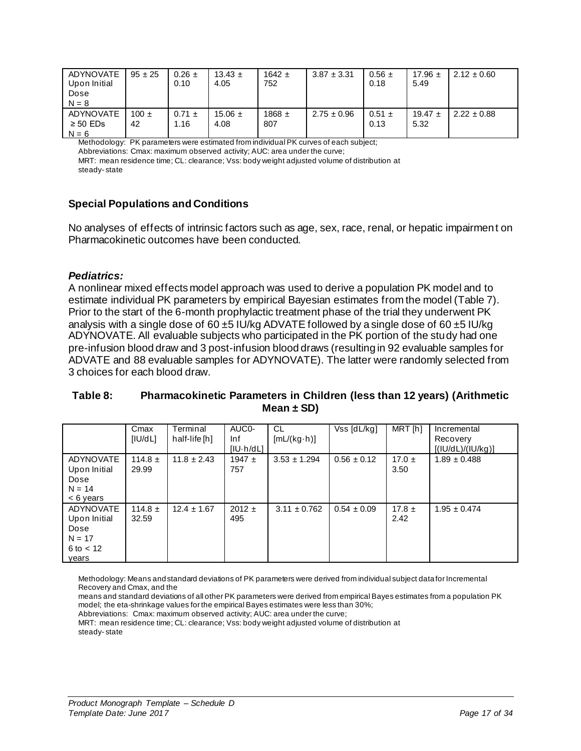| ADYNOVATE<br>Upon Initial<br>Dose<br>$N = 8$ | $95 \pm 25$     | $0.26 \pm$<br>0.10 | $13.43 \pm$<br>4.05 | $1642 \pm$<br>752 | $3.87 \pm 3.31$ | $0.56 \pm$<br>0.18 | 17.96 $\pm$<br>5.49 | $2.12 \pm 0.60$ |
|----------------------------------------------|-----------------|--------------------|---------------------|-------------------|-----------------|--------------------|---------------------|-----------------|
| ADYNOVATE<br>$\geq 50$ EDs<br>$N = 6$        | $100 \pm$<br>42 | $0.71 \pm$<br>1.16 | $15.06 \pm$<br>4.08 | $1868 \pm$<br>807 | $2.75 \pm 0.96$ | $0.51 \pm$<br>0.13 | 19.47 $\pm$<br>5.32 | $2.22 \pm 0.88$ |

Methodology: PK parameters were estimated from individual PK curves of each subject;

Abbreviations: Cmax: maximum observed activity; AUC: area under the curve;

MRT: mean residence time; CL: clearance; Vss: body weight adjusted volume of distribution at steady- state

### **Special Populations and Conditions**

No analyses of effects of intrinsic factors such as age, sex, race, renal, or hepatic impairment on Pharmacokinetic outcomes have been conducted.

#### *Pediatrics:*

A nonlinear mixed effects model approach was used to derive a population PK model and to estimate individual PK parameters by empirical Bayesian estimates from the model (Table 7). Prior to the start of the 6-month prophylactic treatment phase of the trial they underwent PK analysis with a single dose of 60  $\pm$ 5 IU/kg ADVATE followed by a single dose of 60  $\pm$ 5 IU/kg ADYNOVATE. All evaluable subjects who participated in the PK portion of the study had one pre-infusion blood draw and 3 post-infusion blood draws (resulting in 92 evaluable samples for ADVATE and 88 evaluable samples for ADYNOVATE). The latter were randomly selected from 3 choices for each blood draw.

### **Table 8: Pharmacokinetic Parameters in Children (less than 12 years) (Arithmetic Mean ± SD)**

|                                                                              | Cmax<br>[ U/dL]      | Terminal<br>half-life [h] | AUC <sub>0</sub> -<br>Inf<br>$[IU-h/dLI]$ | <b>CL</b><br>$[mL/(kg \cdot h)]$ | Vss [dL/kg]     | MRT [h]            | Incremental<br>Recovery<br>[(IU/dL)/(IU/kg)] |
|------------------------------------------------------------------------------|----------------------|---------------------------|-------------------------------------------|----------------------------------|-----------------|--------------------|----------------------------------------------|
| <b>ADYNOVATE</b><br>Upon Initial<br>Dose<br>$N = 14$<br>$< 6$ years          | 114.8 $\pm$<br>29.99 | $11.8 \pm 2.43$           | 1947 $\pm$<br>757                         | $3.53 \pm 1.294$                 | $0.56 \pm 0.12$ | $17.0 \pm$<br>3.50 | $1.89 \pm 0.488$                             |
| <b>ADYNOVATE</b><br>Upon Initial<br>Dose<br>$N = 17$<br>6 to $< 12$<br>vears | 114.8 $\pm$<br>32.59 | $12.4 \pm 1.67$           | $2012 \pm$<br>495                         | $3.11 \pm 0.762$                 | $0.54 \pm 0.09$ | $17.8 \pm$<br>2.42 | $1.95 \pm 0.474$                             |

Methodology: Means and standard deviations of PK parameters were derived from individual subject data for Incremental Recovery and Cmax, and the

means and standard deviations of all other PK parameters were derived from empirical Bayes estimates from a population PK model; the eta-shrinkage values for the empirical Bayes estimates were less than 30%;

Abbreviations: Cmax: maximum observed activity; AUC: area under the curve;

MRT: mean residence time; CL: clearance; Vss: body weight adjusted volume of distribution at steady- state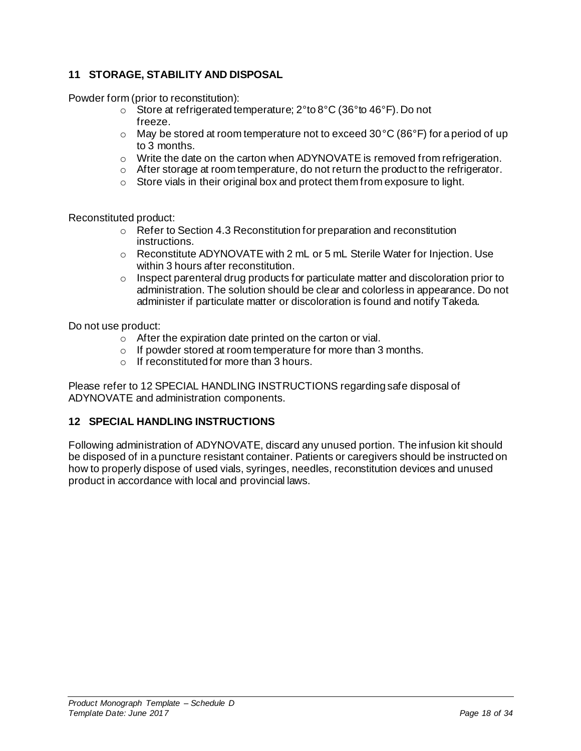## <span id="page-17-0"></span>**11 STORAGE, STABILITY AND DISPOSAL**

Powder form (prior to reconstitution):

- $\circ$  Store at refrigerated temperature; 2° to 8°C (36° to 46°F). Do not freeze.
- $\circ$  May be stored at room temperature not to exceed 30 °C (86 °F) for a period of up to 3 months.
- $\circ$  Write the date on the carton when ADYNOVATE is removed from refrigeration.
- $\circ$  After storage at room temperature, do not return the product to the refrigerator.
- o Store vials in their original box and protect them from exposure to light.

Reconstituted product:

- $\circ$  Refer to Sectio[n 4.3](#page-7-0) [Reconstitution](#page-7-0) for preparation and reconstitution instructions.
- $\circ$  Reconstitute ADYNOVATE with 2 mL or 5 mL Sterile Water for Injection. Use within 3 hours after reconstitution.
- $\circ$  Inspect parenteral drug products for particulate matter and discoloration prior to administration. The solution should be clear and colorless in appearance. Do not administer if particulate matter or discoloration is found and notify Takeda.

Do not use product:

- o After the expiration date printed on the carton or vial.
- o If powder stored at room temperature for more than 3 months.
- o If reconstituted for more than 3 hours.

Please refer to [12](#page-17-1) [SPECIAL HANDLING INSTRUCTIONS](#page-17-1) regarding safe disposal of ADYNOVATE and administration components.

### <span id="page-17-1"></span>**12 SPECIAL HANDLING INSTRUCTIONS**

Following administration of ADYNOVATE, discard any unused portion. The infusion kit should be disposed of in a puncture resistant container. Patients or caregivers should be instructed on how to properly dispose of used vials, syringes, needles, reconstitution devices and unused product in accordance with local and provincial laws.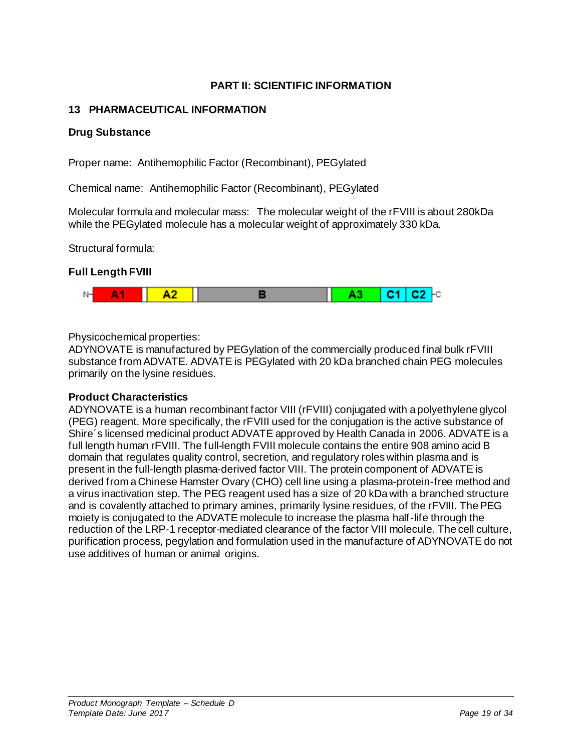## **PART II: SCIENTIFIC INFORMATION**

## <span id="page-18-1"></span><span id="page-18-0"></span>**13 PHARMACEUTICAL INFORMATION**

## **Drug Substance**

Proper name: Antihemophilic Factor (Recombinant), PEGylated

Chemical name: Antihemophilic Factor (Recombinant), PEGylated

Molecular formula and molecular mass: The molecular weight of the rFVIII is about 280kDa while the PEGylated molecule has a molecular weight of approximately 330 kDa.

Structural formula:

## **Full Length FVIII**



Physicochemical properties:

ADYNOVATE is manufactured by PEGylation of the commercially produced final bulk rFVIII substance from ADVATE. ADVATE is PEGylated with 20 kDa branched chain PEG molecules primarily on the lysine residues.

### **Product Characteristics**

ADYNOVATE is a human recombinant factor VIII (rFVIII) conjugated with a polyethylene glycol (PEG) reagent. More specifically, the rFVIII used for the conjugation is the active substance of Shire´s licensed medicinal product ADVATE approved by Health Canada in 2006. ADVATE is a full length human rFVIII. The full-length FVIII molecule contains the entire 908 amino acid B domain that regulates quality control, secretion, and regulatory roles within plasma and is present in the full-length plasma-derived factor VIII. The protein component of ADVATE is derived from a Chinese Hamster Ovary (CHO) cell line using a plasma-protein-free method and a virus inactivation step. The PEG reagent used has a size of 20 kDa with a branched structure and is covalently attached to primary amines, primarily lysine residues, of the rFVIII. The PEG moiety is conjugated to the ADVATE molecule to increase the plasma half-life through the reduction of the LRP-1 receptor-mediated clearance of the factor VIII molecule. The cell culture, purification process, pegylation and formulation used in the manufacture of ADYNOVATE do not use additives of human or animal origins.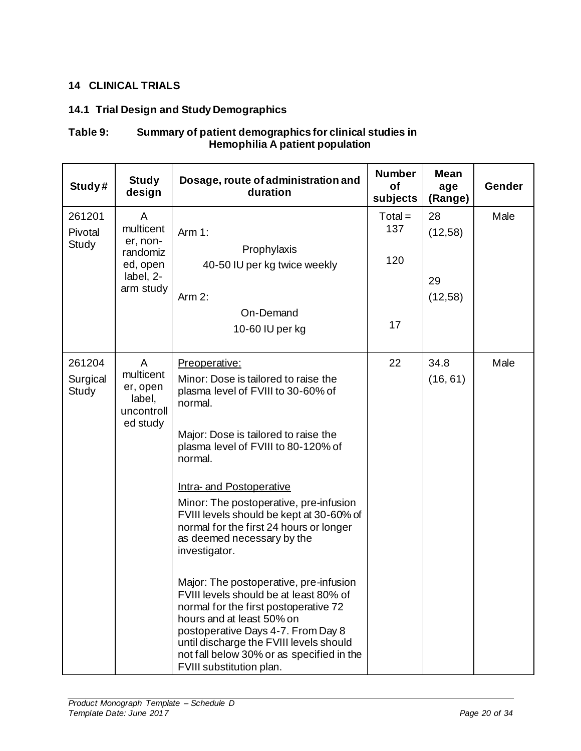## <span id="page-19-0"></span>**14 CLINICAL TRIALS**

## <span id="page-19-1"></span>**14.1 Trial Design and Study Demographics**

## **Table 9: Summary of patient demographics for clinical studies in Hemophilia A patient population**

| Study#                      | <b>Study</b><br>design                                                       | Dosage, route of administration and<br>duration                                                                                                                                                                                                                                                                                                                                                                                                                                                                                                                                                                                                                                                                                  | <b>Number</b><br><b>of</b><br>subjects | <b>Mean</b><br>age<br>(Range)  | Gender |
|-----------------------------|------------------------------------------------------------------------------|----------------------------------------------------------------------------------------------------------------------------------------------------------------------------------------------------------------------------------------------------------------------------------------------------------------------------------------------------------------------------------------------------------------------------------------------------------------------------------------------------------------------------------------------------------------------------------------------------------------------------------------------------------------------------------------------------------------------------------|----------------------------------------|--------------------------------|--------|
| 261201<br>Pivotal<br>Study  | A<br>multicent<br>er, non-<br>randomiz<br>ed, open<br>label, 2-<br>arm study | Arm $1$ :<br>Prophylaxis<br>40-50 IU per kg twice weekly<br>Arm 2:<br>On-Demand<br>10-60 IU per kg                                                                                                                                                                                                                                                                                                                                                                                                                                                                                                                                                                                                                               | $Total =$<br>137<br>120<br>17          | 28<br>(12,58)<br>29<br>(12,58) | Male   |
| 261204<br>Surgical<br>Study | $\mathsf{A}$<br>multicent<br>er, open<br>label,<br>uncontroll<br>ed study    | Preoperative:<br>Minor: Dose is tailored to raise the<br>plasma level of FVIII to 30-60% of<br>normal.<br>Major: Dose is tailored to raise the<br>plasma level of FVIII to 80-120% of<br>normal.<br>Intra- and Postoperative<br>Minor: The postoperative, pre-infusion<br>FVIII levels should be kept at 30-60% of<br>normal for the first 24 hours or longer<br>as deemed necessary by the<br>investigator.<br>Major: The postoperative, pre-infusion<br>FVIII levels should be at least 80% of<br>normal for the first postoperative 72<br>hours and at least 50% on<br>postoperative Days 4-7. From Day 8<br>until discharge the FVIII levels should<br>not fall below 30% or as specified in the<br>FVIII substitution plan. | 22                                     | 34.8<br>(16, 61)               | Male   |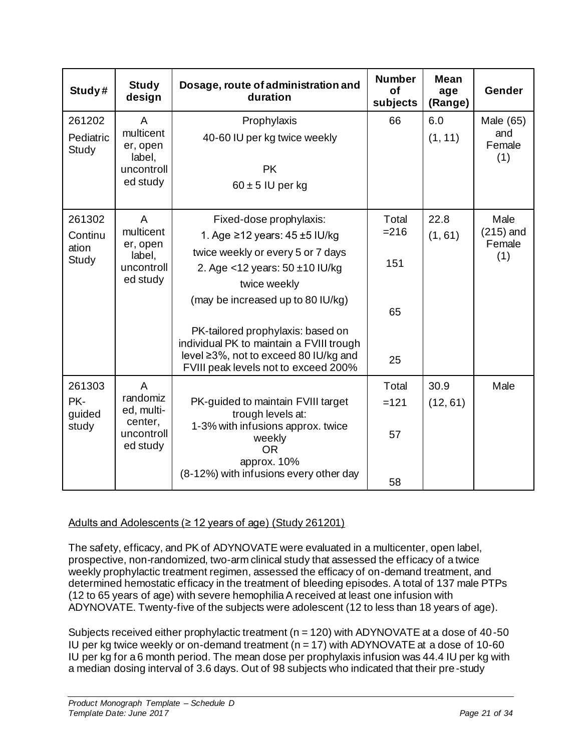| Study#                                     | <b>Study</b><br>design                                   | Dosage, route of administration and<br>duration                                                                        | <b>Number</b><br>Οf<br>subjects | <b>Mean</b><br>age<br>(Range) | Gender                |
|--------------------------------------------|----------------------------------------------------------|------------------------------------------------------------------------------------------------------------------------|---------------------------------|-------------------------------|-----------------------|
| 261202                                     | A                                                        | Prophylaxis                                                                                                            | 66                              | 6.0                           | Male (65)             |
| Pediatric<br>Study                         | multicent<br>er, open<br>label,                          | 40-60 IU per kg twice weekly                                                                                           |                                 | (1, 11)                       | and<br>Female<br>(1)  |
|                                            | uncontroll                                               | <b>PK</b>                                                                                                              |                                 |                               |                       |
|                                            | ed study                                                 | $60 \pm 5$ IU per kg                                                                                                   |                                 |                               |                       |
| 261302                                     | $\mathsf{A}$                                             | Fixed-dose prophylaxis:                                                                                                | Total                           | 22.8                          | Male                  |
| Continu<br>ation                           | multicent<br>er, open                                    | 1. Age ≥12 years: $45 \pm 5$ IU/kg                                                                                     | $= 216$                         | (1, 61)                       | $(215)$ and<br>Female |
| Study                                      | label,<br>uncontroll<br>ed study                         | twice weekly or every 5 or 7 days                                                                                      | 151                             |                               | (1)                   |
|                                            |                                                          | 2. Age <12 years: $50 \pm 10$ IU/kg<br>twice weekly                                                                    |                                 |                               |                       |
|                                            |                                                          | (may be increased up to 80 IU/kg)                                                                                      | 65                              |                               |                       |
|                                            |                                                          | PK-tailored prophylaxis: based on<br>individual PK to maintain a FVIII trough<br>level ≥3%, not to exceed 80 IU/kg and | 25                              |                               |                       |
| 261303                                     | $\overline{A}$                                           | FVIII peak levels not to exceed 200%                                                                                   | Total                           | 30.9                          |                       |
| PK-                                        | randomiz                                                 | PK-guided to maintain FVIII target                                                                                     | $=121$                          | (12, 61)                      | Male                  |
| guided                                     | ed, multi-                                               | trough levels at:                                                                                                      |                                 |                               |                       |
| center,<br>study<br>uncontroll<br>ed study | 1-3% with infusions approx. twice<br>weekly<br><b>OR</b> | 57                                                                                                                     |                                 |                               |                       |
|                                            |                                                          | approx. 10%<br>(8-12%) with infusions every other day                                                                  |                                 |                               |                       |
|                                            |                                                          |                                                                                                                        | 58                              |                               |                       |

## Adults and Adolescents (≥ 12 years of age) (Study 261201)

The safety, efficacy, and PK of ADYNOVATE were evaluated in a multicenter, open label, prospective, non-randomized, two-arm clinical study that assessed the efficacy of a twice weekly prophylactic treatment regimen, assessed the efficacy of on-demand treatment, and determined hemostatic efficacy in the treatment of bleeding episodes. A total of 137 male PTPs (12 to 65 years of age) with severe hemophilia A received at least one infusion with ADYNOVATE. Twenty-five of the subjects were adolescent (12 to less than 18 years of age).

Subjects received either prophylactic treatment ( $n = 120$ ) with ADYNOVATE at a dose of 40-50 IU per kg twice weekly or on-demand treatment ( $n = 17$ ) with ADYNOVATE at a dose of 10-60 IU per kg for a 6 month period. The mean dose per prophylaxis infusion was 44.4 IU per kg with a median dosing interval of 3.6 days. Out of 98 subjects who indicated that their pre-study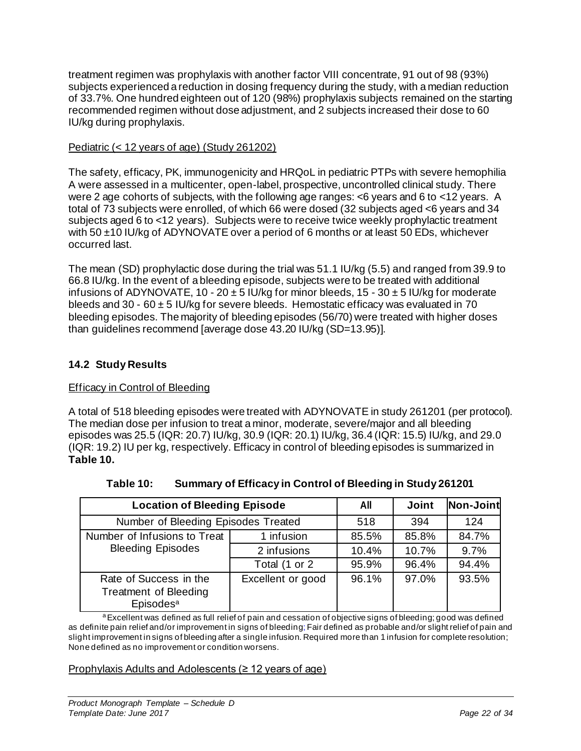treatment regimen was prophylaxis with another factor VIII concentrate, 91 out of 98 (93%) subjects experienced a reduction in dosing frequency during the study, with a median reduction of 33.7%. One hundred eighteen out of 120 (98%) prophylaxis subjects remained on the starting recommended regimen without dose adjustment, and 2 subjects increased their dose to 60 IU/kg during prophylaxis.

## Pediatric (< 12 years of age) (Study 261202)

The safety, efficacy, PK, immunogenicity and HRQoL in pediatric PTPs with severe hemophilia A were assessed in a multicenter, open-label, prospective, uncontrolled clinical study. There were 2 age cohorts of subjects, with the following age ranges: <6 years and 6 to <12 years. A total of 73 subjects were enrolled, of which 66 were dosed (32 subjects aged <6 years and 34 subjects aged 6 to <12 years). Subjects were to receive twice weekly prophylactic treatment with 50  $\pm$ 10 IU/kg of ADYNOVATE over a period of 6 months or at least 50 EDs, whichever occurred last.

The mean (SD) prophylactic dose during the trial was 51.1 IU/kg (5.5) and ranged from 39.9 to 66.8 IU/kg. In the event of a bleeding episode, subjects were to be treated with additional infusions of ADYNOVATE, 10 - 20  $\pm$  5 IU/kg for minor bleeds, 15 - 30  $\pm$  5 IU/kg for moderate bleeds and 30 - 60  $\pm$  5 IU/kg for severe bleeds. Hemostatic efficacy was evaluated in 70 bleeding episodes. The majority of bleeding episodes (56/70) were treated with higher doses than guidelines recommend [average dose 43.20 IU/kg (SD=13.95)].

## <span id="page-21-0"></span>**14.2 Study Results**

## Efficacy in Control of Bleeding

A total of 518 bleeding episodes were treated with ADYNOVATE in study 261201 (per protocol). The median dose per infusion to treat a minor, moderate, severe/major and all bleeding episodes was 25.5 (IQR: 20.7) IU/kg, 30.9 (IQR: 20.1) IU/kg, 36.4 (IQR: 15.5) IU/kg, and 29.0 (IQR: 19.2) IU per kg, respectively. Efficacy in control of bleeding episodes is summarized in **[Table 10.](#page-21-1)**

<span id="page-21-1"></span>

| <b>Location of Bleeding Episode</b>                                             | All               | <b>Joint</b> | Non-Joint |       |
|---------------------------------------------------------------------------------|-------------------|--------------|-----------|-------|
| Number of Bleeding Episodes Treated                                             | 518               | 394          | 124       |       |
| Number of Infusions to Treat                                                    | 1 infusion        | 85.5%        | 85.8%     | 84.7% |
| <b>Bleeding Episodes</b>                                                        | 2 infusions       | 10.4%        | 10.7%     | 9.7%  |
|                                                                                 | Total (1 or 2     | 95.9%        | 96.4%     | 94.4% |
| Rate of Success in the<br><b>Treatment of Bleeding</b><br>Episodes <sup>a</sup> | Excellent or good | 96.1%        | 97.0%     | 93.5% |

**Table 10: Summary of Efficacy in Control of Bleeding in Study 261201**

<sup>a</sup> Excellent was defined as full relief of pain and cessation of objective signs of bleeding; good was defined as definite pain relief and/or improvement in signs of bleeding; Fair defined as probable and/or slight relief of pain and slight improvement in signs of bleeding after a single infusion. Required more than 1 infusion for complete resolution; None defined as no improvement or condition worsens.

### Prophylaxis Adults and Adolescents (≥ 12 years of age)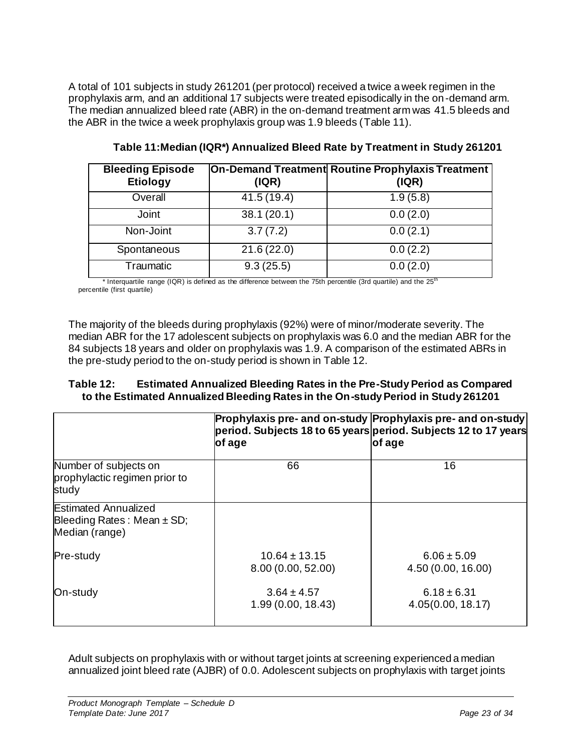A total of 101 subjects in study 261201 (per protocol) received a twice a week regimen in the prophylaxis arm, and an additional 17 subjects were treated episodically in the on-demand arm. The median annualized bleed rate (ABR) in the on-demand treatment arm was 41.5 bleeds and the ABR in the twice a week prophylaxis group was 1.9 bleeds [\(Table 11\)](#page-22-0).

<span id="page-22-0"></span>

| <b>Bleeding Episode</b><br>Etiology | ( IQR)      | On-Demand Treatment Routine Prophylaxis Treatment<br>( IQR) |
|-------------------------------------|-------------|-------------------------------------------------------------|
| Overall                             | 41.5 (19.4) | 1.9(5.8)                                                    |
| <b>Joint</b>                        | 38.1(20.1)  | 0.0(2.0)                                                    |
| Non-Joint                           | 3.7(7.2)    | 0.0(2.1)                                                    |
| Spontaneous                         | 21.6(22.0)  | 0.0(2.2)                                                    |
| Traumatic                           | 9.3(25.5)   | 0.0(2.0)                                                    |

**Table 11:Median (IQR\*) Annualized Bleed Rate by Treatment in Study 261201**

Interquartile range (IQR) is defined as the difference between the 75th percentile (3rd quartile) and the 25<sup>th</sup> percentile (first quartile)

The majority of the bleeds during prophylaxis (92%) were of minor/moderate severity. The median ABR for the 17 adolescent subjects on prophylaxis was 6.0 and the median ABR for the 84 subjects 18 years and older on prophylaxis was 1.9. A comparison of the estimated ABRs in the pre-study period to the on-study period is shown i[n Table 12.](#page-22-1)

### <span id="page-22-1"></span>**Table 12: Estimated Annualized Bleeding Rates in the Pre-Study Period as Compared to the Estimated Annualized Bleeding Rates in the On-study Period in Study 261201**

|                                                                                 | of age                                  | Prophylaxis pre- and on-study Prophylaxis pre- and on-study<br>period. Subjects 18 to 65 years period. Subjects 12 to 17 years<br>of age |
|---------------------------------------------------------------------------------|-----------------------------------------|------------------------------------------------------------------------------------------------------------------------------------------|
| Number of subjects on<br>prophylactic regimen prior to<br>study                 | 66                                      | 16                                                                                                                                       |
| <b>Estimated Annualized</b><br>Bleeding Rates: Mean $\pm$ SD;<br>Median (range) |                                         |                                                                                                                                          |
| Pre-study                                                                       | $10.64 \pm 13.15$<br>8.00 (0.00, 52.00) | $6.06 \pm 5.09$<br>4.50(0.00, 16.00)                                                                                                     |
| On-study                                                                        | $3.64 \pm 4.57$<br>1.99(0.00, 18.43)    | $6.18 \pm 6.31$<br>4.05(0.00, 18.17)                                                                                                     |

Adult subjects on prophylaxis with or without target joints at screening experienced a median annualized joint bleed rate (AJBR) of 0.0. Adolescent subjects on prophylaxis with target joints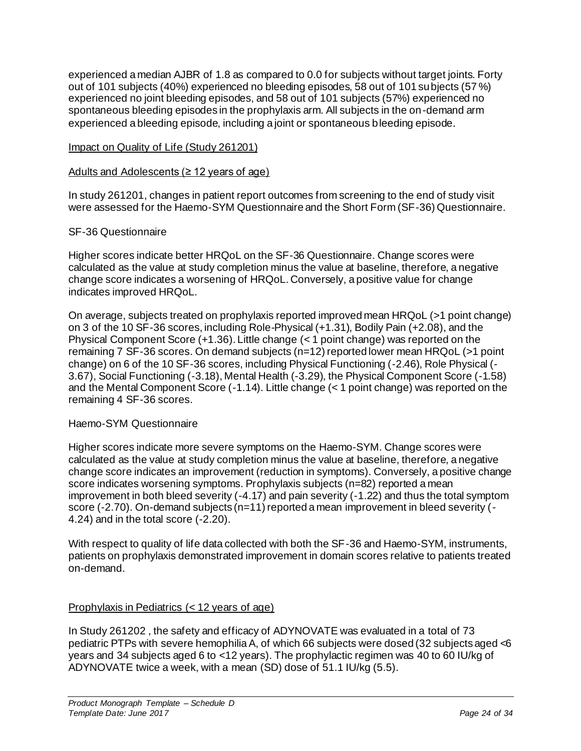experienced a median AJBR of 1.8 as compared to 0.0 for subjects without target joints. Forty out of 101 subjects (40%) experienced no bleeding episodes, 58 out of 101 subjects (57 %) experienced no joint bleeding episodes, and 58 out of 101 subjects (57%) experienced no spontaneous bleeding episodes in the prophylaxis arm. All subjects in the on-demand arm experienced a bleeding episode, including a joint or spontaneous bleeding episode.

## Impact on Quality of Life (Study 261201)

### Adults and Adolescents (≥ 12 years of age)

In study 261201, changes in patient report outcomes from screening to the end of study visit were assessed for the Haemo-SYM Questionnaire and the Short Form (SF-36) Questionnaire.

## SF-36 Questionnaire

Higher scores indicate better HRQoL on the SF-36 Questionnaire. Change scores were calculated as the value at study completion minus the value at baseline, therefore, a negative change score indicates a worsening of HRQoL. Conversely, a positive value for change indicates improved HRQoL.

On average, subjects treated on prophylaxis reported improved mean HRQoL (>1 point change) on 3 of the 10 SF-36 scores, including Role-Physical (+1.31), Bodily Pain (+2.08), and the Physical Component Score (+1.36). Little change (< 1 point change) was reported on the remaining 7 SF-36 scores. On demand subjects (n=12) reported lower mean HRQoL (>1 point change) on 6 of the 10 SF-36 scores, including Physical Functioning (-2.46), Role Physical (- 3.67), Social Functioning (-3.18), Mental Health (-3.29), the Physical Component Score (-1.58) and the Mental Component Score (-1.14). Little change (< 1 point change) was reported on the remaining 4 SF-36 scores.

### Haemo-SYM Questionnaire

Higher scores indicate more severe symptoms on the Haemo-SYM. Change scores were calculated as the value at study completion minus the value at baseline, therefore, a negative change score indicates an improvement (reduction in symptoms). Conversely, a positive change score indicates worsening symptoms. Prophylaxis subjects (n=82) reported a mean improvement in both bleed severity (-4.17) and pain severity (-1.22) and thus the total symptom score (-2.70). On-demand subjects (n=11) reported a mean improvement in bleed severity (-4.24) and in the total score (-2.20).

With respect to quality of life data collected with both the SF-36 and Haemo-SYM, instruments, patients on prophylaxis demonstrated improvement in domain scores relative to patients treated on-demand.

## Prophylaxis in Pediatrics (< 12 years of age)

In Study 261202 , the safety and efficacy of ADYNOVATE was evaluated in a total of 73 pediatric PTPs with severe hemophilia A, of which 66 subjects were dosed (32 subjects aged <6 years and 34 subjects aged 6 to <12 years). The prophylactic regimen was 40 to 60 IU/kg of ADYNOVATE twice a week, with a mean (SD) dose of 51.1 IU/kg (5.5).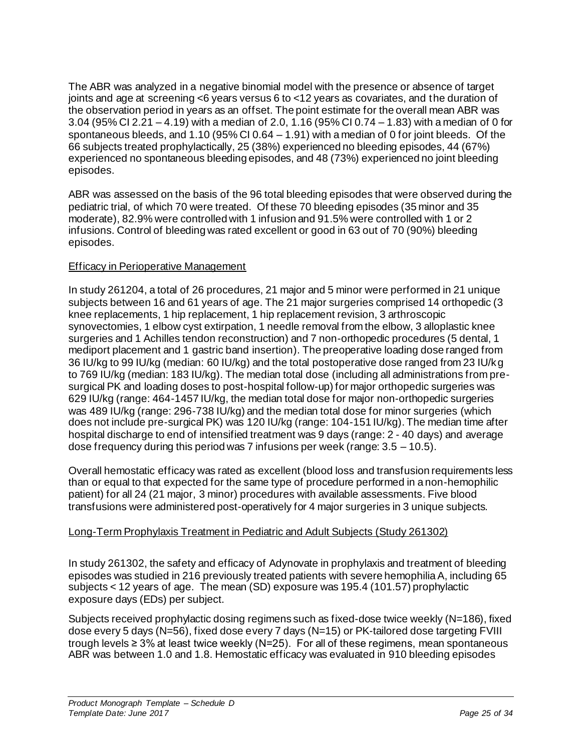The ABR was analyzed in a negative binomial model with the presence or absence of target joints and age at screening <6 years versus 6 to <12 years as covariates, and the duration of the observation period in years as an offset. The point estimate for the overall mean ABR was 3.04 (95% CI 2.21 – 4.19) with a median of 2.0, 1.16 (95% CI 0.74 – 1.83) with a median of 0 for spontaneous bleeds, and 1.10 (95% CI 0.64 – 1.91) with a median of 0 for joint bleeds. Of the 66 subjects treated prophylactically, 25 (38%) experienced no bleeding episodes, 44 (67%) experienced no spontaneous bleeding episodes, and 48 (73%) experienced no joint bleeding episodes.

ABR was assessed on the basis of the 96 total bleeding episodes that were observed during the pediatric trial, of which 70 were treated. Of these 70 bleeding episodes (35 minor and 35 moderate), 82.9% were controlled with 1 infusion and 91.5% were controlled with 1 or 2 infusions. Control of bleeding was rated excellent or good in 63 out of 70 (90%) bleeding episodes.

## Efficacy in Perioperative Management

In study 261204, a total of 26 procedures, 21 major and 5 minor were performed in 21 unique subjects between 16 and 61 years of age. The 21 major surgeries comprised 14 orthopedic (3 knee replacements, 1 hip replacement, 1 hip replacement revision, 3 arthroscopic synovectomies, 1 elbow cyst extirpation, 1 needle removal from the elbow, 3 alloplastic knee surgeries and 1 Achilles tendon reconstruction) and 7 non-orthopedic procedures (5 dental, 1 mediport placement and 1 gastric band insertion). The preoperative loading dose ranged from 36 IU/kg to 99 IU/kg (median: 60 IU/kg) and the total postoperative dose ranged from 23 IU/kg to 769 IU/kg (median: 183 IU/kg). The median total dose (including all administrations from presurgical PK and loading doses to post-hospital follow-up) for major orthopedic surgeries was 629 IU/kg (range: 464-1457 IU/kg, the median total dose for major non-orthopedic surgeries was 489 IU/kg (range: 296-738 IU/kg) and the median total dose for minor surgeries (which does not include pre-surgical PK) was 120 IU/kg (range: 104-151 IU/kg). The median time after hospital discharge to end of intensified treatment was 9 days (range: 2 - 40 days) and average dose frequency during this period was 7 infusions per week (range:  $3.5 - 10.5$ ).

Overall hemostatic efficacy was rated as excellent (blood loss and transfusion requirements less than or equal to that expected for the same type of procedure performed in a non-hemophilic patient) for all 24 (21 major, 3 minor) procedures with available assessments. Five blood transfusions were administered post-operatively for 4 major surgeries in 3 unique subjects.

# Long-Term Prophylaxis Treatment in Pediatric and Adult Subjects (Study 261302)

In study 261302, the safety and efficacy of Adynovate in prophylaxis and treatment of bleeding episodes was studied in 216 previously treated patients with severe hemophilia A, including 65 subjects < 12 years of age. The mean (SD) exposure was 195.4 (101.57) prophylactic exposure days (EDs) per subject.

Subjects received prophylactic dosing regimens such as fixed-dose twice weekly (N=186), fixed dose every 5 days (N=56), fixed dose every 7 days (N=15) or PK-tailored dose targeting FVIII trough levels ≥ 3% at least twice weekly (N=25). For all of these regimens, mean spontaneous ABR was between 1.0 and 1.8. Hemostatic efficacy was evaluated in 910 bleeding episodes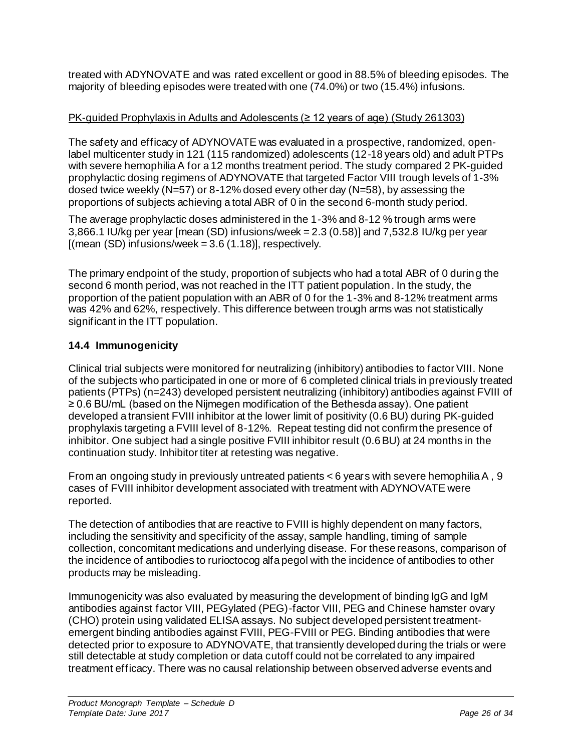treated with ADYNOVATE and was rated excellent or good in 88.5% of bleeding episodes. The majority of bleeding episodes were treated with one (74.0%) or two (15.4%) infusions.

## PK-guided Prophylaxis in Adults and Adolescents (≥ 12 years of age) (Study 261303)

The safety and efficacy of ADYNOVATE was evaluated in a prospective, randomized, openlabel multicenter study in 121 (115 randomized) adolescents (12-18 years old) and adult PTPs with severe hemophilia A for a 12 months treatment period. The study compared 2 PK-guided prophylactic dosing regimens of ADYNOVATE that targeted Factor VIII trough levels of 1-3% dosed twice weekly (N=57) or 8-12% dosed every other day (N=58), by assessing the proportions of subjects achieving a total ABR of 0 in the second 6-month study period.

The average prophylactic doses administered in the 1-3% and 8-12 % trough arms were 3,866.1 IU/kg per year [mean (SD) infusions/week = 2.3 (0.58)] and 7,532.8 IU/kg per year  $[(mean (SD) infusions/week = 3.6 (1.18)], respectively.$ 

The primary endpoint of the study, proportion of subjects who had a total ABR of 0 during the second 6 month period, was not reached in the ITT patient population. In the study, the proportion of the patient population with an ABR of 0 for the 1-3% and 8-12% treatment arms was 42% and 62%, respectively. This difference between trough arms was not statistically significant in the ITT population.

# <span id="page-25-0"></span>**14.4 Immunogenicity**

Clinical trial subjects were monitored for neutralizing (inhibitory) antibodies to factor VIII. None of the subjects who participated in one or more of 6 completed clinical trials in previously treated patients (PTPs) (n=243) developed persistent neutralizing (inhibitory) antibodies against FVIII of ≥ 0.6 BU/mL (based on the Nijmegen modification of the Bethesda assay). One patient developed a transient FVIII inhibitor at the lower limit of positivity (0.6 BU) during PK-guided prophylaxis targeting a FVIII level of 8-12%. Repeat testing did not confirm the presence of inhibitor. One subject had a single positive FVIII inhibitor result (0.6 BU) at 24 months in the continuation study. Inhibitor titer at retesting was negative.

From an ongoing study in previously untreated patients < 6 years with severe hemophilia A , 9 cases of FVIII inhibitor development associated with treatment with ADYNOVATE were reported.

The detection of antibodies that are reactive to FVIII is highly dependent on many factors, including the sensitivity and specificity of the assay, sample handling, timing of sample collection, concomitant medications and underlying disease. For these reasons, comparison of the incidence of antibodies to rurioctocog alfa pegol with the incidence of antibodies to other products may be misleading.

Immunogenicity was also evaluated by measuring the development of binding IgG and IgM antibodies against factor VIII, PEGylated (PEG)-factor VIII, PEG and Chinese hamster ovary (CHO) protein using validated ELISA assays. No subject developed persistent treatmentemergent binding antibodies against FVIII, PEG-FVIII or PEG. Binding antibodies that were detected prior to exposure to ADYNOVATE, that transiently developed during the trials or were still detectable at study completion or data cutoff could not be correlated to any impaired treatment efficacy. There was no causal relationship between observed adverse events and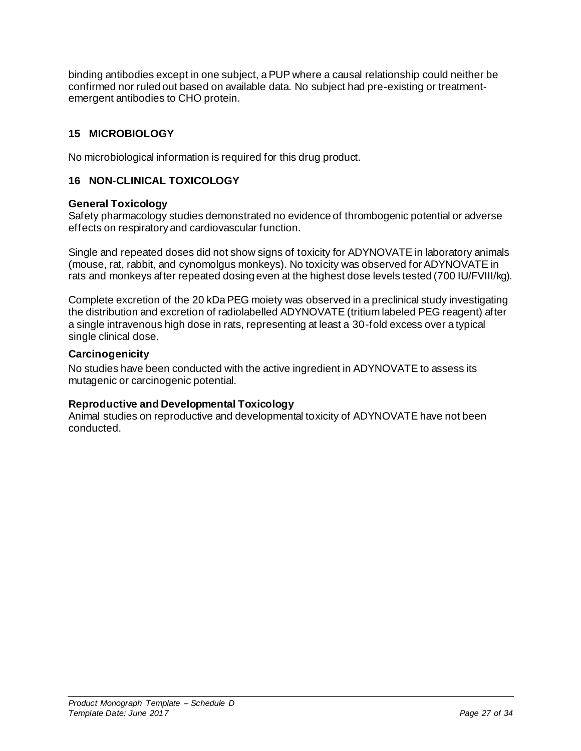binding antibodies except in one subject, a PUP where a causal relationship could neither be confirmed nor ruled out based on available data. No subject had pre-existing or treatmentemergent antibodies to CHO protein.

## <span id="page-26-0"></span>**15 MICROBIOLOGY**

<span id="page-26-1"></span>No microbiological information is required for this drug product.

## **16 NON-CLINICAL TOXICOLOGY**

## **General Toxicology**

Safety pharmacology studies demonstrated no evidence of thrombogenic potential or adverse effects on respiratory and cardiovascular function.

Single and repeated doses did not show signs of toxicity for ADYNOVATE in laboratory animals (mouse, rat, rabbit, and cynomolgus monkeys). No toxicity was observed for ADYNOVATE in rats and monkeys after repeated dosing even at the highest dose levels tested (700 IU/FVIII/kg).

Complete excretion of the 20 kDa PEG moiety was observed in a preclinical study investigating the distribution and excretion of radiolabelled ADYNOVATE (tritium labeled PEG reagent) after a single intravenous high dose in rats, representing at least a 30-fold excess over a typical single clinical dose.

## **Carcinogenicity**

No studies have been conducted with the active ingredient in ADYNOVATE to assess its mutagenic or carcinogenic potential.

### **Reproductive and Developmental Toxicology**

Animal studies on reproductive and developmental toxicity of ADYNOVATE have not been conducted.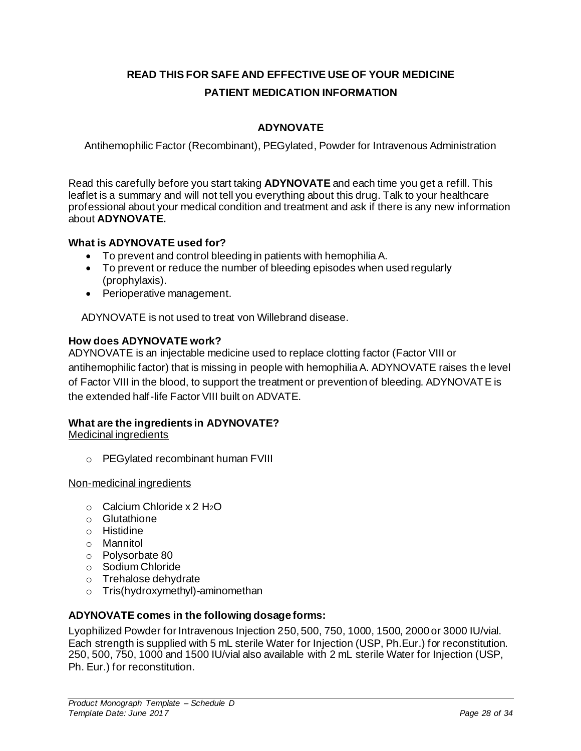# <span id="page-27-0"></span>**READ THIS FOR SAFE AND EFFECTIVE USE OF YOUR MEDICINE PATIENT MEDICATION INFORMATION**

# **ADYNOVATE**

Antihemophilic Factor (Recombinant), PEGylated, Powder for Intravenous Administration

Read this carefully before you start taking **ADYNOVATE** and each time you get a refill. This leaflet is a summary and will not tell you everything about this drug. Talk to your healthcare professional about your medical condition and treatment and ask if there is any new information about **ADYNOVATE.**

## **What is ADYNOVATE used for?**

- To prevent and control bleeding in patients with hemophilia A.
- To prevent or reduce the number of bleeding episodes when used regularly (prophylaxis).
- Perioperative management.

ADYNOVATE is not used to treat von Willebrand disease.

### **How does ADYNOVATE work?**

ADYNOVATE is an injectable medicine used to replace clotting factor (Factor VIII or antihemophilic factor) that is missing in people with hemophilia A. ADYNOVATE raises the level of Factor VIII in the blood, to support the treatment or prevention of bleeding. ADYNOVATE is the extended half-life Factor VIII built on ADVATE.

## **What are the ingredients in ADYNOVATE?**

Medicinal ingredients

o PEGylated recombinant human FVIII

Non-medicinal ingredients

- $\circ$  Calcium Chloride x 2 H<sub>2</sub>O
- o Glutathione
- o Histidine
- o Mannitol
- o Polysorbate 80
- o Sodium Chloride
- o Trehalose dehydrate
- o Tris(hydroxymethyl)-aminomethan

### **ADYNOVATE comes in the following dosage forms:**

Lyophilized Powder for Intravenous Injection 250, 500, 750, 1000, 1500, 2000 or 3000 IU/vial. Each strength is supplied with 5 mL sterile Water for Injection (USP, Ph.Eur.) for reconstitution. 250, 500, 750, 1000 and 1500 IU/vial also available with 2 mL sterile Water for Injection (USP, Ph. Eur.) for reconstitution.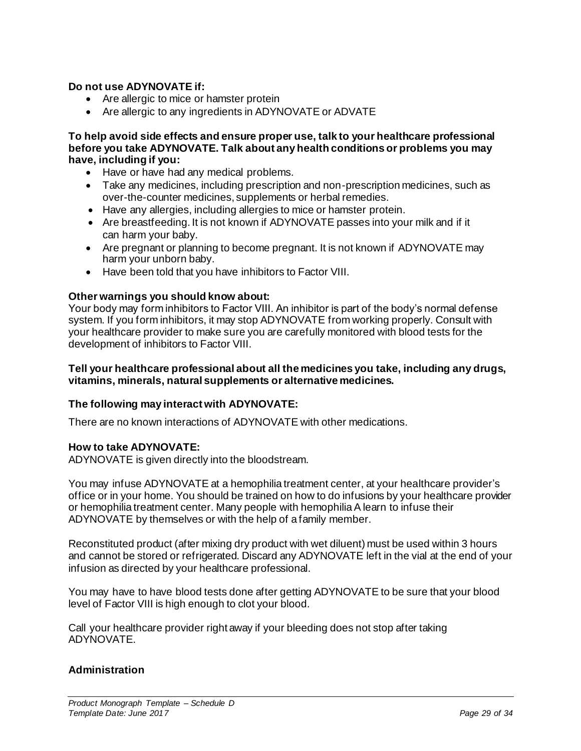### **Do not use ADYNOVATE if:**

- Are allergic to mice or hamster protein
- Are allergic to any ingredients in ADYNOVATE or ADVATE

**To help avoid side effects and ensure proper use, talk to your healthcare professional before you take ADYNOVATE. Talk about any health conditions or problems you may have, including if you:** 

- Have or have had any medical problems.
- Take any medicines, including prescription and non-prescription medicines, such as over-the-counter medicines, supplements or herbal remedies.
- Have any allergies, including allergies to mice or hamster protein.
- Are breastfeeding. It is not known if ADYNOVATE passes into your milk and if it can harm your baby.
- Are pregnant or planning to become pregnant. It is not known if ADYNOVATE may harm your unborn baby.
- Have been told that you have inhibitors to Factor VIII.

#### **Other warnings you should know about:**

Your body may form inhibitors to Factor VIII. An inhibitor is part of the body's normal defense system. If you form inhibitors, it may stop ADYNOVATE from working properly. Consult with your healthcare provider to make sure you are carefully monitored with blood tests for the development of inhibitors to Factor VIII.

#### **Tell your healthcare professional about all the medicines you take, including any drugs, vitamins, minerals, natural supplements or alternative medicines.**

### **The following may interact with ADYNOVATE:**

There are no known interactions of ADYNOVATE with other medications.

#### **How to take ADYNOVATE:**

ADYNOVATE is given directly into the bloodstream.

You may infuse ADYNOVATE at a hemophilia treatment center, at your healthcare provider's office or in your home. You should be trained on how to do infusions by your healthcare provider or hemophilia treatment center. Many people with hemophilia A learn to infuse their ADYNOVATE by themselves or with the help of a family member.

Reconstituted product (after mixing dry product with wet diluent) must be used within 3 hours and cannot be stored or refrigerated. Discard any ADYNOVATE left in the vial at the end of your infusion as directed by your healthcare professional.

You may have to have blood tests done after getting ADYNOVATE to be sure that your blood level of Factor VIII is high enough to clot your blood.

Call your healthcare provider right away if your bleeding does not stop after taking ADYNOVATE.

### **Administration**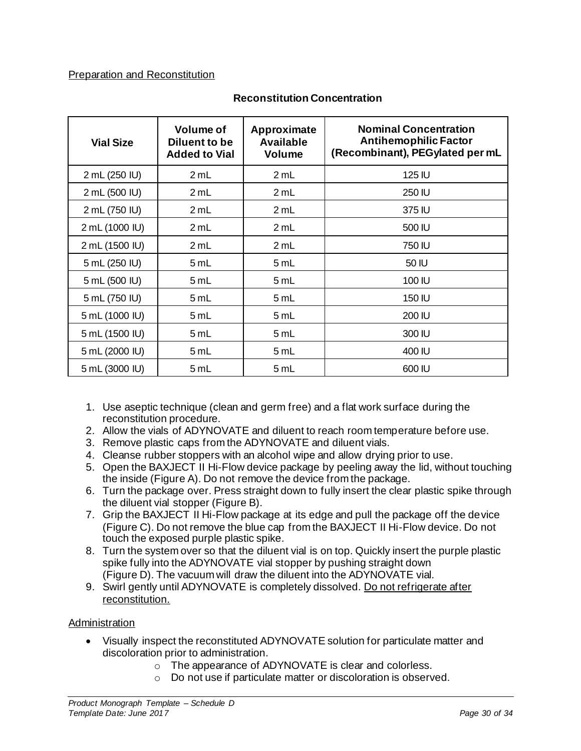## Preparation and Reconstitution

| <b>Vial Size</b> | <b>Volume of</b><br>Diluent to be<br><b>Added to Vial</b> | Approximate<br><b>Available</b><br><b>Volume</b> | <b>Nominal Concentration</b><br><b>Antihemophilic Factor</b><br>(Recombinant), PEGylated per mL |
|------------------|-----------------------------------------------------------|--------------------------------------------------|-------------------------------------------------------------------------------------------------|
| 2 mL (250 IU)    | 2 mL                                                      | 2 mL                                             | 125 IU                                                                                          |
| 2 mL (500 IU)    | 2 mL                                                      | 2 mL                                             | 250 IU                                                                                          |
| 2 mL (750 IU)    | 2 mL                                                      | 2 mL                                             | 375 IU                                                                                          |
| 2 mL (1000 IU)   | 2 mL                                                      | 2 mL                                             | 500 IU                                                                                          |
| 2 mL (1500 IU)   | 2 mL                                                      | 2 mL                                             | 750 IU                                                                                          |
| 5 mL (250 IU)    | 5 mL                                                      | 5 mL                                             | 50 IU                                                                                           |
| 5 mL (500 IU)    | 5 mL                                                      | 5 mL                                             | 100 IU                                                                                          |
| 5 mL (750 IU)    | 5 mL                                                      | 5 mL                                             | 150 IU                                                                                          |
| 5 mL (1000 IU)   | 5 mL                                                      | 5 mL                                             | 200 IU                                                                                          |
| 5 mL (1500 IU)   | 5 mL                                                      | 5 mL                                             | 300 IU                                                                                          |
| 5 mL (2000 IU)   | 5 mL                                                      | 5 mL                                             | 400 IU                                                                                          |
| 5 mL (3000 IU)   | 5 mL                                                      | 5 mL                                             | 600 IU                                                                                          |

## **Reconstitution Concentration**

- 1. Use aseptic technique (clean and germ free) and a flat work surface during the reconstitution procedure.
- 2. Allow the vials of ADYNOVATE and diluent to reach room temperature before use.
- 3. Remove plastic caps from the ADYNOVATE and diluent vials.
- 4. Cleanse rubber stoppers with an alcohol wipe and allow drying prior to use.
- 5. Open the BAXJECT II Hi-Flow device package by peeling away the lid, without touching the inside (Figure A). Do not remove the device from the package.
- 6. Turn the package over. Press straight down to fully insert the clear plastic spike through the diluent vial stopper (Figure B).
- 7. Grip the BAXJECT II Hi-Flow package at its edge and pull the package off the device (Figure C). Do not remove the blue cap from the BAXJECT II Hi-Flow device. Do not touch the exposed purple plastic spike.
- 8. Turn the system over so that the diluent vial is on top. Quickly insert the purple plastic spike fully into the ADYNOVATE vial stopper by pushing straight down (Figure D). The vacuum will draw the diluent into the ADYNOVATE vial.
- 9. Swirl gently until ADYNOVATE is completely dissolved. Do not refrigerate after reconstitution.

### Administration

- Visually inspect the reconstituted ADYNOVATE solution for particulate matter and discoloration prior to administration.
	- o The appearance of ADYNOVATE is clear and colorless.
	- o Do not use if particulate matter or discoloration is observed.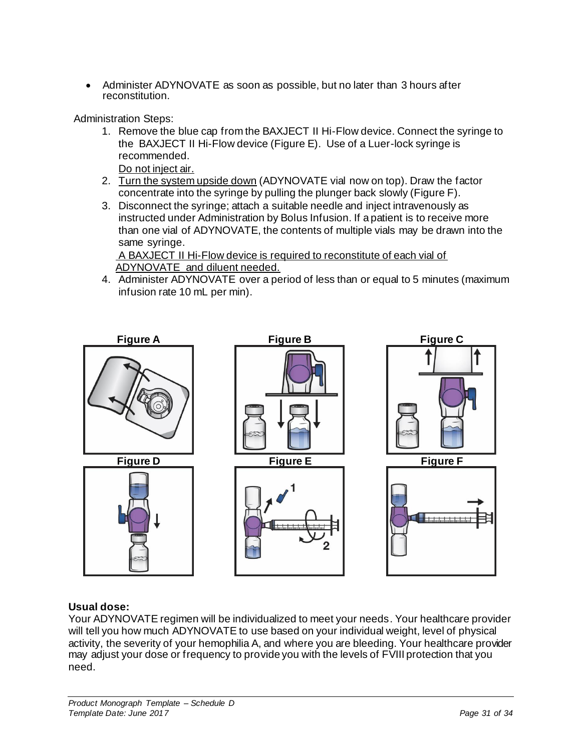• Administer ADYNOVATE as soon as possible, but no later than 3 hours after reconstitution.

Administration Steps:

- 1. Remove the blue cap from the BAXJECT II Hi-Flow device. Connect the syringe to the BAXJECT II Hi-Flow device (Figure E). Use of a Luer-lock syringe is recommended. Do not inject air.
- 2. Turn the system upside down (ADYNOVATE vial now on top). Draw the factor concentrate into the syringe by pulling the plunger back slowly (Figure F).
- 3. Disconnect the syringe; attach a suitable needle and inject intravenously as instructed under Administration by Bolus Infusion. If a patient is to receive more than one vial of ADYNOVATE, the contents of multiple vials may be drawn into the same syringe.

A BAXJECT II Hi-Flow device is required to reconstitute of each vial of ADYNOVATE and diluent needed.

4. Administer ADYNOVATE over a period of less than or equal to 5 minutes (maximum infusion rate 10 mL per min).



## **Usual dose:**

Your ADYNOVATE regimen will be individualized to meet your needs. Your healthcare provider will tell you how much ADYNOVATE to use based on your individual weight, level of physical activity, the severity of your hemophilia A, and where you are bleeding. Your healthcare provider may adjust your dose or frequency to provide you with the levels of FVIII protection that you need.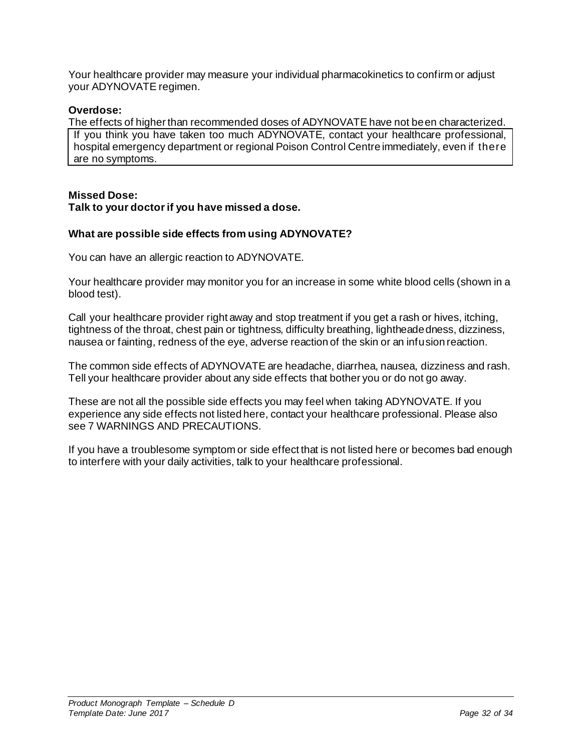Your healthcare provider may measure your individual pharmacokinetics to confirm or adjust your ADYNOVATE regimen.

### **Overdose:**

The effects of higher than recommended doses of ADYNOVATE have not been characterized. If you think you have taken too much ADYNOVATE, contact your healthcare professional, hospital emergency department or regional Poison Control Centre immediately, even if there are no symptoms.

#### **Missed Dose: Talk to your doctor if you have missed a dose.**

### **What are possible side effects from using ADYNOVATE?**

You can have an allergic reaction to ADYNOVATE.

Your healthcare provider may monitor you for an increase in some white blood cells (shown in a blood test).

Call your healthcare provider right away and stop treatment if you get a rash or hives, itching, tightness of the throat, chest pain or tightness, difficulty breathing, lightheadedness, dizziness, nausea or fainting, redness of the eye, adverse reaction of the skin or an infusion reaction.

The common side effects of ADYNOVATE are headache, diarrhea, nausea, dizziness and rash. Tell your healthcare provider about any side effects that bother you or do not go away.

These are not all the possible side effects you may feel when taking ADYNOVATE. If you experience any side effects not listed here, contact your healthcare professional. Please also see [7](#page-10-0) [WARNINGS AND PRECAUTIONS.](#page-10-0)

If you have a troublesome symptom or side effect that is not listed here or becomes bad enough to interfere with your daily activities, talk to your healthcare professional.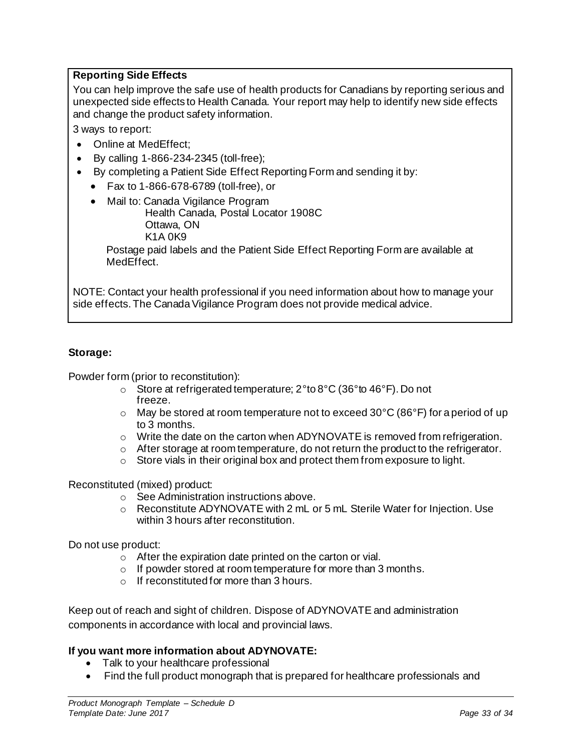## **Reporting Side Effects**

You can help improve the safe use of health products for Canadians by reporting serious and unexpected side effects to Health Canada. Your report may help to identify new side effects and change the product safety information.

3 ways to report:

- Online at [MedEffect;](http://hc-sc.gc.ca/dhp-mps/medeff/index-eng.php)
- By calling 1-866-234-2345 (toll-free);
- By completing a Patient Side Effect Reporting Form and sending it by:
	- Fax to 1-866-678-6789 (toll-free), or
	- Mail to: Canada Vigilance Program Health Canada, Postal Locator 1908C

Ottawa, ON K1A 0K9

Postage paid labels and the Patient Side Effect Reporting Form are available at [MedEffect](http://hc-sc.gc.ca/dhp-mps/medeff/index-eng.php).

NOTE: Contact your health professional if you need information about how to manage your side effects. The Canada Vigilance Program does not provide medical advice.

## **Storage:**

Powder form (prior to reconstitution):

- o Store at refrigerated temperature; 2°to 8°C (36°to 46°F). Do not freeze.
- $\circ$  May be stored at room temperature not to exceed 30°C (86°F) for a period of up to 3 months.
- $\circ$  Write the date on the carton when ADYNOVATE is removed from refrigeration.
- $\circ$  After storage at room temperature, do not return the product to the refrigerator.
- o Store vials in their original box and protect them from exposure to light.

Reconstituted (mixed) product:

- o See Administration instructions above.
- $\circ$  Reconstitute ADYNOVATE with 2 mL or 5 mL Sterile Water for Injection. Use within 3 hours after reconstitution.

Do not use product:

- o After the expiration date printed on the carton or vial.
- o If powder stored at room temperature for more than 3 months.
- o If reconstituted for more than 3 hours.

Keep out of reach and sight of children. Dispose of ADYNOVATE and administration components in accordance with local and provincial laws.

### **If you want more information about ADYNOVATE:**

- Talk to your healthcare professional
- Find the full product monograph that is prepared for healthcare professionals and